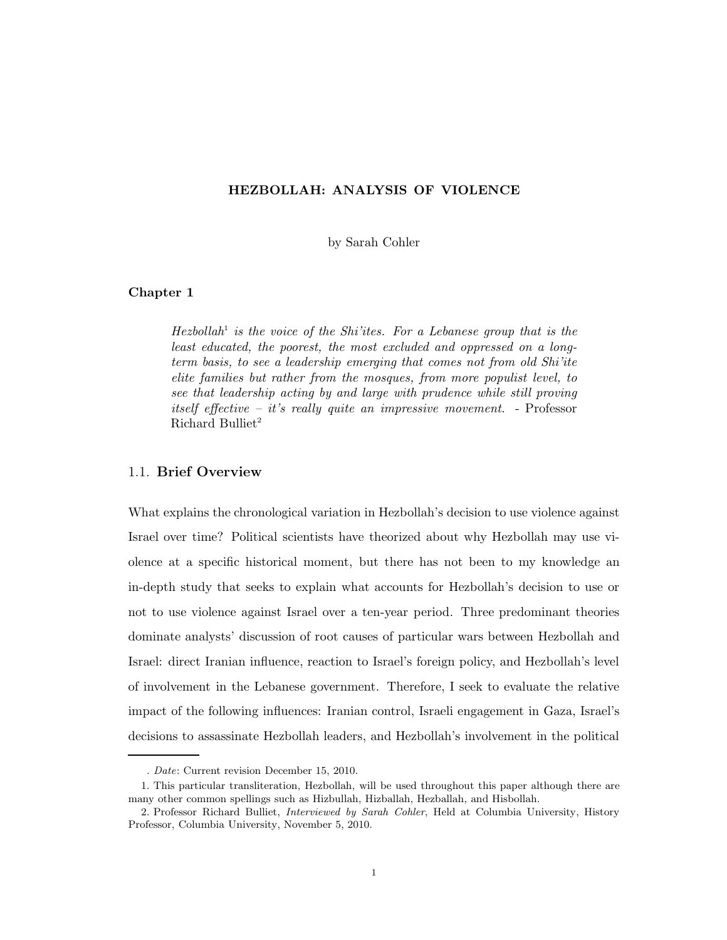## HEZBOLLAH: ANALYSIS OF VIOLENCE

by Sarah Cohler

## Chapter 1

 $Hezbold<sup>1</sup>$  is the voice of the Shi'ites. For a Lebanese group that is the least educated, the poorest, the most excluded and oppressed on a longterm basis, to see a leadership emerging that comes not from old Shi'ite elite families but rather from the mosques, from more populist level, to see that leadership acting by and large with prudence while still proving itself effective – it's really quite an impressive movement. - Professor Richard Bulliet<sup>2</sup>

## 1.1. Brief Overview

What explains the chronological variation in Hezbollah's decision to use violence against Israel over time? Political scientists have theorized about why Hezbollah may use violence at a specific historical moment, but there has not been to my knowledge an in-depth study that seeks to explain what accounts for Hezbollah's decision to use or not to use violence against Israel over a ten-year period. Three predominant theories dominate analysts' discussion of root causes of particular wars between Hezbollah and Israel: direct Iranian influence, reaction to Israel's foreign policy, and Hezbollah's level of involvement in the Lebanese government. Therefore, I seek to evaluate the relative impact of the following influences: Iranian control, Israeli engagement in Gaza, Israel's decisions to assassinate Hezbollah leaders, and Hezbollah's involvement in the political

<sup>.</sup> Date: Current revision December 15, 2010.

<sup>1.</sup> This particular transliteration, Hezbollah, will be used throughout this paper although there are many other common spellings such as Hizbullah, Hizballah, Hezballah, and Hisbollah.

<sup>2.</sup> Professor Richard Bulliet, Interviewed by Sarah Cohler, Held at Columbia University, History Professor, Columbia University, November 5, 2010.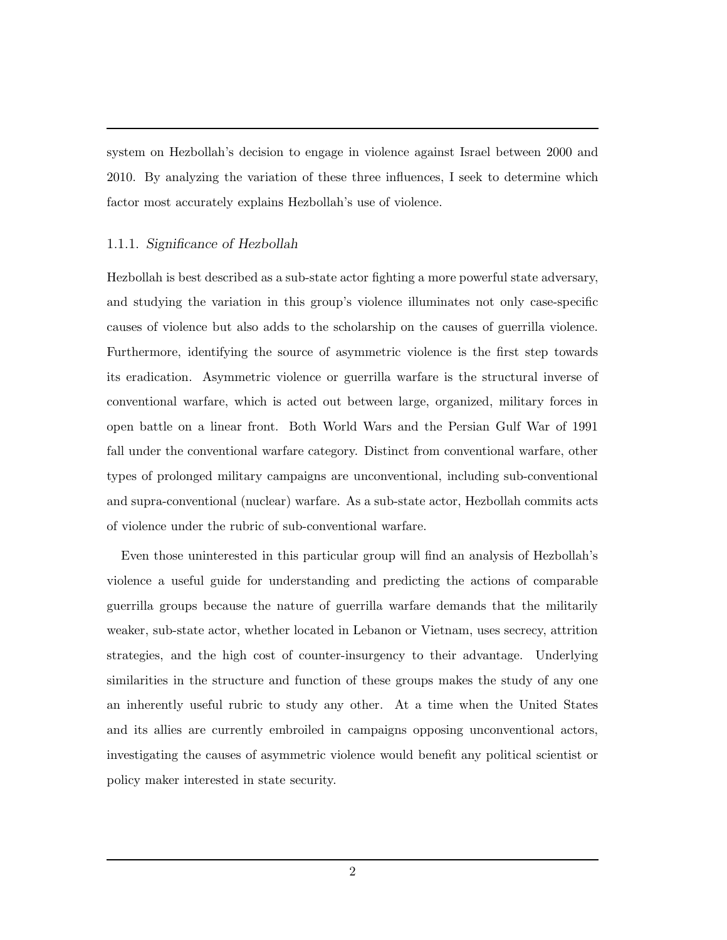system on Hezbollah's decision to engage in violence against Israel between 2000 and 2010. By analyzing the variation of these three influences, I seek to determine which factor most accurately explains Hezbollah's use of violence.

## 1.1.1. Significance of Hezbollah

Hezbollah is best described as a sub-state actor fighting a more powerful state adversary, and studying the variation in this group's violence illuminates not only case-specific causes of violence but also adds to the scholarship on the causes of guerrilla violence. Furthermore, identifying the source of asymmetric violence is the first step towards its eradication. Asymmetric violence or guerrilla warfare is the structural inverse of conventional warfare, which is acted out between large, organized, military forces in open battle on a linear front. Both World Wars and the Persian Gulf War of 1991 fall under the conventional warfare category. Distinct from conventional warfare, other types of prolonged military campaigns are unconventional, including sub-conventional and supra-conventional (nuclear) warfare. As a sub-state actor, Hezbollah commits acts of violence under the rubric of sub-conventional warfare.

Even those uninterested in this particular group will find an analysis of Hezbollah's violence a useful guide for understanding and predicting the actions of comparable guerrilla groups because the nature of guerrilla warfare demands that the militarily weaker, sub-state actor, whether located in Lebanon or Vietnam, uses secrecy, attrition strategies, and the high cost of counter-insurgency to their advantage. Underlying similarities in the structure and function of these groups makes the study of any one an inherently useful rubric to study any other. At a time when the United States and its allies are currently embroiled in campaigns opposing unconventional actors, investigating the causes of asymmetric violence would benefit any political scientist or policy maker interested in state security.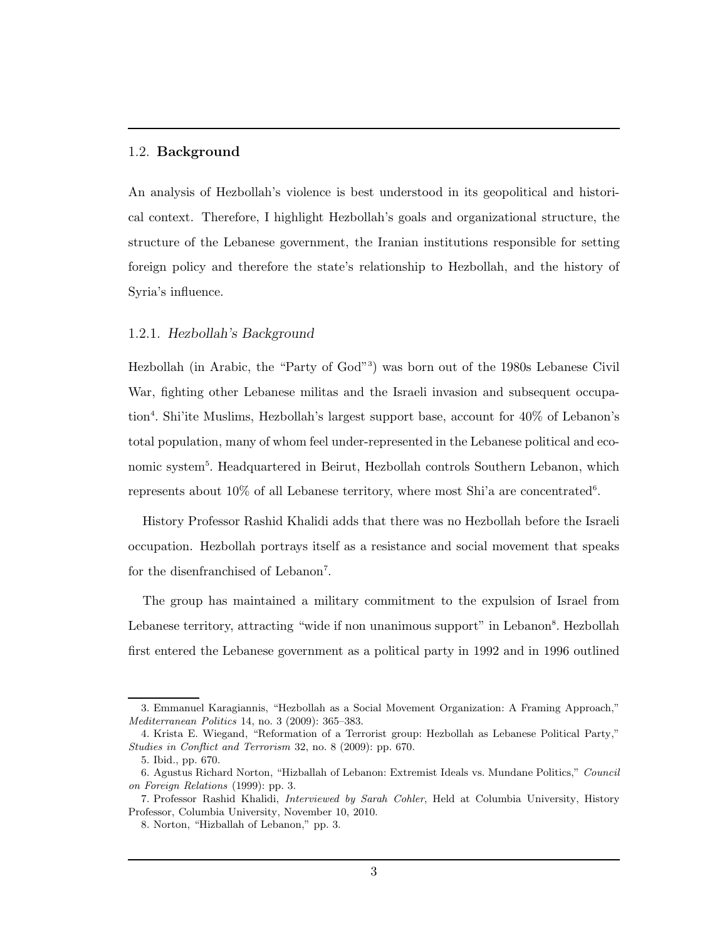#### 1.2. Background

An analysis of Hezbollah's violence is best understood in its geopolitical and historical context. Therefore, I highlight Hezbollah's goals and organizational structure, the structure of the Lebanese government, the Iranian institutions responsible for setting foreign policy and therefore the state's relationship to Hezbollah, and the history of Syria's influence.

#### 1.2.1. Hezbollah's Background

Hezbollah (in Arabic, the "Party of God"<sup>3</sup> ) was born out of the 1980s Lebanese Civil War, fighting other Lebanese militas and the Israeli invasion and subsequent occupation<sup>4</sup>. Shi'ite Muslims, Hezbollah's largest support base, account for 40% of Lebanon's total population, many of whom feel under-represented in the Lebanese political and economic system<sup>5</sup>. Headquartered in Beirut, Hezbollah controls Southern Lebanon, which represents about 10% of all Lebanese territory, where most Shi'a are concentrated<sup>6</sup>.

History Professor Rashid Khalidi adds that there was no Hezbollah before the Israeli occupation. Hezbollah portrays itself as a resistance and social movement that speaks for the disenfranchised of Lebanon<sup>7</sup>.

The group has maintained a military commitment to the expulsion of Israel from Lebanese territory, attracting "wide if non unanimous support" in Lebanon<sup>8</sup>. Hezbollah first entered the Lebanese government as a political party in 1992 and in 1996 outlined

<sup>3.</sup> Emmanuel Karagiannis, "Hezbollah as a Social Movement Organization: A Framing Approach," Mediterranean Politics 14, no. 3 (2009): 365–383.

<sup>4.</sup> Krista E. Wiegand, "Reformation of a Terrorist group: Hezbollah as Lebanese Political Party," Studies in Conflict and Terrorism 32, no. 8 (2009): pp. 670.

<sup>5.</sup> Ibid., pp. 670.

<sup>6.</sup> Agustus Richard Norton, "Hizballah of Lebanon: Extremist Ideals vs. Mundane Politics," Council on Foreign Relations (1999): pp. 3.

<sup>7.</sup> Professor Rashid Khalidi, Interviewed by Sarah Cohler, Held at Columbia University, History Professor, Columbia University, November 10, 2010.

<sup>8.</sup> Norton, "Hizballah of Lebanon," pp. 3.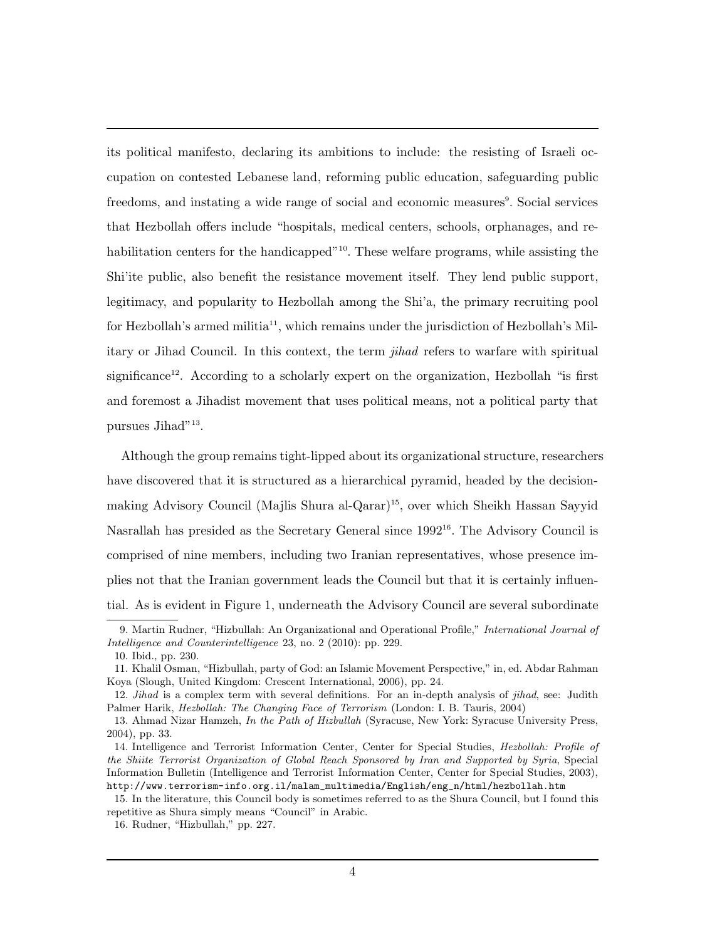its political manifesto, declaring its ambitions to include: the resisting of Israeli occupation on contested Lebanese land, reforming public education, safeguarding public freedoms, and instating a wide range of social and economic measures<sup>9</sup>. Social services that Hezbollah offers include "hospitals, medical centers, schools, orphanages, and rehabilitation centers for the handicapped<sup>"10</sup>. These welfare programs, while assisting the Shi'ite public, also benefit the resistance movement itself. They lend public support, legitimacy, and popularity to Hezbollah among the Shi'a, the primary recruiting pool for Hezbollah's armed militia<sup>11</sup>, which remains under the jurisdiction of Hezbollah's Military or Jihad Council. In this context, the term jihad refers to warfare with spiritual significance<sup>12</sup>. According to a scholarly expert on the organization, Hezbollah "is first and foremost a Jihadist movement that uses political means, not a political party that pursues Jihad"<sup>13</sup>.

Although the group remains tight-lipped about its organizational structure, researchers have discovered that it is structured as a hierarchical pyramid, headed by the decisionmaking Advisory Council (Majlis Shura al-Qarar)<sup>15</sup>, over which Sheikh Hassan Sayyid Nasrallah has presided as the Secretary General since 1992<sup>16</sup>. The Advisory Council is comprised of nine members, including two Iranian representatives, whose presence implies not that the Iranian government leads the Council but that it is certainly influential. As is evident in Figure 1, underneath the Advisory Council are several subordinate

<sup>9.</sup> Martin Rudner, "Hizbullah: An Organizational and Operational Profile," International Journal of Intelligence and Counterintelligence 23, no. 2 (2010): pp. 229.

<sup>10.</sup> Ibid., pp. 230.

<sup>11.</sup> Khalil Osman, "Hizbullah, party of God: an Islamic Movement Perspective," in, ed. Abdar Rahman Koya (Slough, United Kingdom: Crescent International, 2006), pp. 24.

<sup>12.</sup> Jihad is a complex term with several definitions. For an in-depth analysis of jihad, see: Judith Palmer Harik, Hezbollah: The Changing Face of Terrorism (London: I. B. Tauris, 2004)

<sup>13.</sup> Ahmad Nizar Hamzeh, In the Path of Hizbullah (Syracuse, New York: Syracuse University Press, 2004), pp. 33.

<sup>14.</sup> Intelligence and Terrorist Information Center, Center for Special Studies, Hezbollah: Profile of the Shiite Terrorist Organization of Global Reach Sponsored by Iran and Supported by Syria, Special Information Bulletin (Intelligence and Terrorist Information Center, Center for Special Studies, 2003), http://www.terrorism-info.org.il/malam\_multimedia/English/eng\_n/html/hezbollah.htm

<sup>15.</sup> In the literature, this Council body is sometimes referred to as the Shura Council, but I found this repetitive as Shura simply means "Council" in Arabic.

<sup>16.</sup> Rudner, "Hizbullah," pp. 227.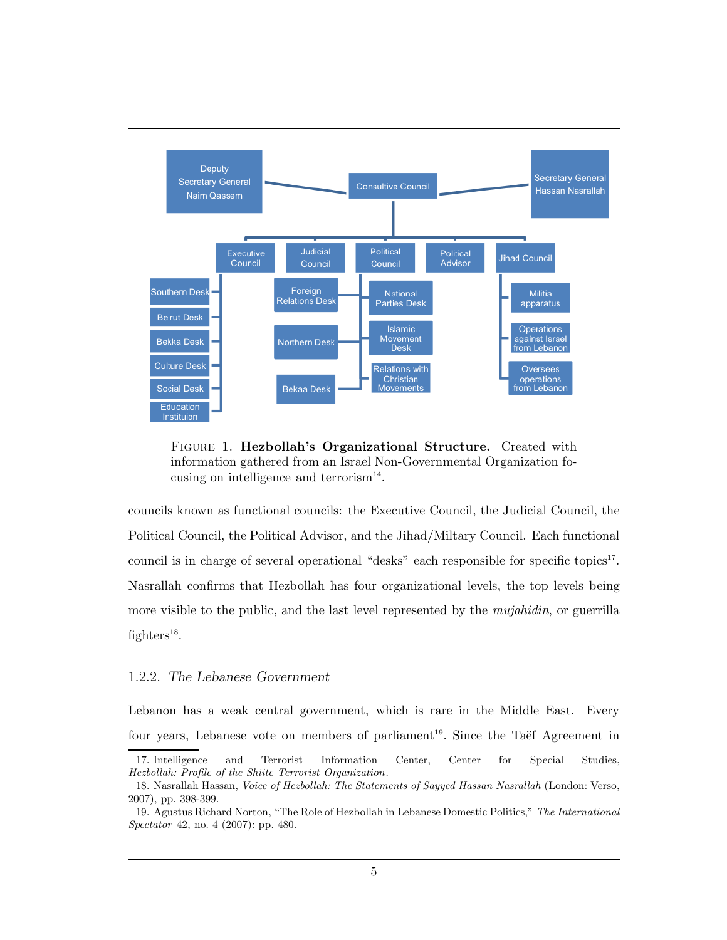

FIGURE 1. Hezbollah's Organizational Structure. Created with information gathered from an Israel Non-Governmental Organization focusing on intelligence and terrorism<sup>14</sup>.

councils known as functional councils: the Executive Council, the Judicial Council, the Political Council, the Political Advisor, and the Jihad/Miltary Council. Each functional council is in charge of several operational "desks" each responsible for specific topics<sup>17</sup>. Nasrallah confirms that Hezbollah has four organizational levels, the top levels being more visible to the public, and the last level represented by the *mujahidin*, or guerrilla fighters<sup>18</sup>.

### 1.2.2. The Lebanese Government

Lebanon has a weak central government, which is rare in the Middle East. Every four years, Lebanese vote on members of parliament<sup>19</sup>. Since the Taëf Agreement in

<sup>17.</sup> Intelligence and Terrorist Information Center, Center for Special Studies, Hezbollah: Profile of the Shiite Terrorist Organization.

<sup>18.</sup> Nasrallah Hassan, Voice of Hezbollah: The Statements of Sayyed Hassan Nasrallah (London: Verso, 2007), pp. 398-399.

<sup>19.</sup> Agustus Richard Norton, "The Role of Hezbollah in Lebanese Domestic Politics," The International Spectator 42, no. 4 (2007): pp. 480.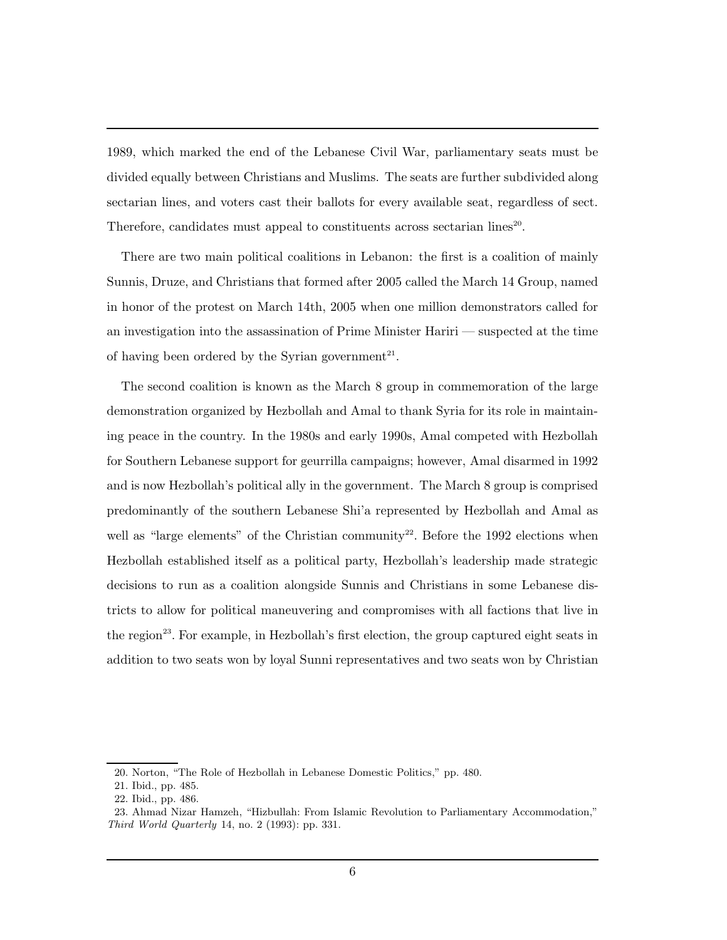1989, which marked the end of the Lebanese Civil War, parliamentary seats must be divided equally between Christians and Muslims. The seats are further subdivided along sectarian lines, and voters cast their ballots for every available seat, regardless of sect. Therefore, candidates must appeal to constituents across sectarian lines<sup>20</sup>.

There are two main political coalitions in Lebanon: the first is a coalition of mainly Sunnis, Druze, and Christians that formed after 2005 called the March 14 Group, named in honor of the protest on March 14th, 2005 when one million demonstrators called for an investigation into the assassination of Prime Minister Hariri — suspected at the time of having been ordered by the Syrian government<sup>21</sup>.

The second coalition is known as the March 8 group in commemoration of the large demonstration organized by Hezbollah and Amal to thank Syria for its role in maintaining peace in the country. In the 1980s and early 1990s, Amal competed with Hezbollah for Southern Lebanese support for geurrilla campaigns; however, Amal disarmed in 1992 and is now Hezbollah's political ally in the government. The March 8 group is comprised predominantly of the southern Lebanese Shi'a represented by Hezbollah and Amal as well as "large elements" of the Christian community<sup>22</sup>. Before the 1992 elections when Hezbollah established itself as a political party, Hezbollah's leadership made strategic decisions to run as a coalition alongside Sunnis and Christians in some Lebanese districts to allow for political maneuvering and compromises with all factions that live in the region<sup>23</sup>. For example, in Hezbollah's first election, the group captured eight seats in addition to two seats won by loyal Sunni representatives and two seats won by Christian

<sup>20.</sup> Norton, "The Role of Hezbollah in Lebanese Domestic Politics," pp. 480.

<sup>21.</sup> Ibid., pp. 485.

<sup>22.</sup> Ibid., pp. 486.

<sup>23.</sup> Ahmad Nizar Hamzeh, "Hizbullah: From Islamic Revolution to Parliamentary Accommodation," Third World Quarterly 14, no. 2 (1993): pp. 331.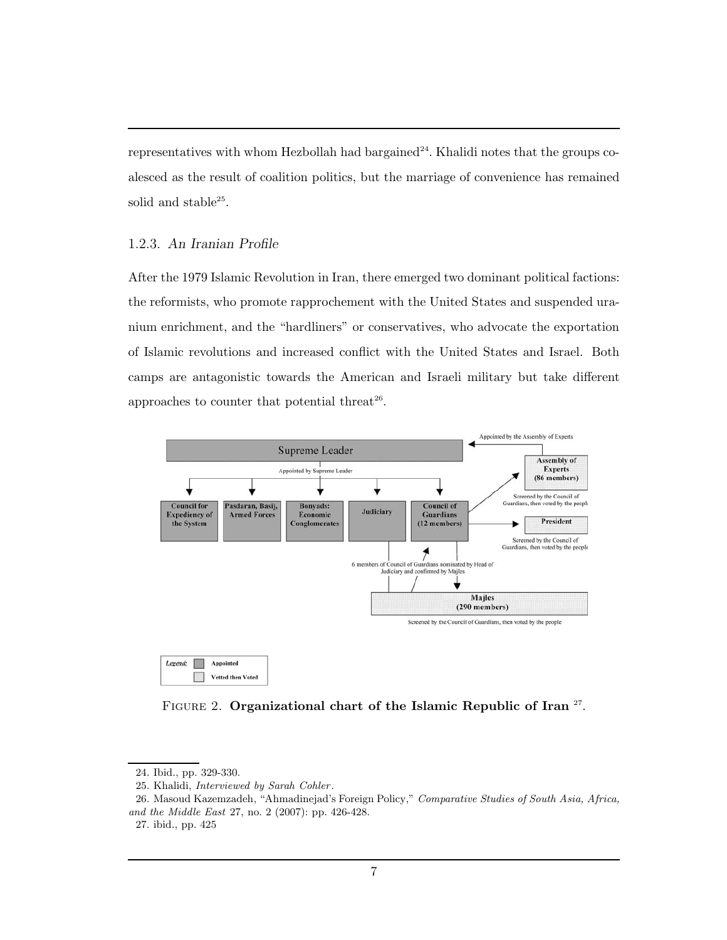representatives with whom Hezbollah had bargained<sup>24</sup>. Khalidi notes that the groups coalesced as the result of coalition politics, but the marriage of convenience has remained solid and stable<sup>25</sup>.

# 1.2.3. An Iranian Profile

After the 1979 Islamic Revolution in Iran, there emerged two dominant political factions: the reformists, who promote rapprochement with the United States and suspended uranium enrichment, and the "hardliners" or conservatives, who advocate the exportation of Islamic revolutions and increased conflict with the United States and Israel. Both camps are antagonistic towards the American and Israeli military but take different approaches to counter that potential threat $26$ .



FIGURE 2. Organizational chart of the Islamic Republic of Iran <sup>27</sup>.

<sup>24.</sup> Ibid., pp. 329-330.

<sup>25.</sup> Khalidi, Interviewed by Sarah Cohler .

<sup>26.</sup> Masoud Kazemzadeh, "Ahmadinejad's Foreign Policy," Comparative Studies of South Asia, Africa, and the Middle East 27, no. 2 (2007): pp. 426-428.

<sup>27.</sup> ibid., pp. 425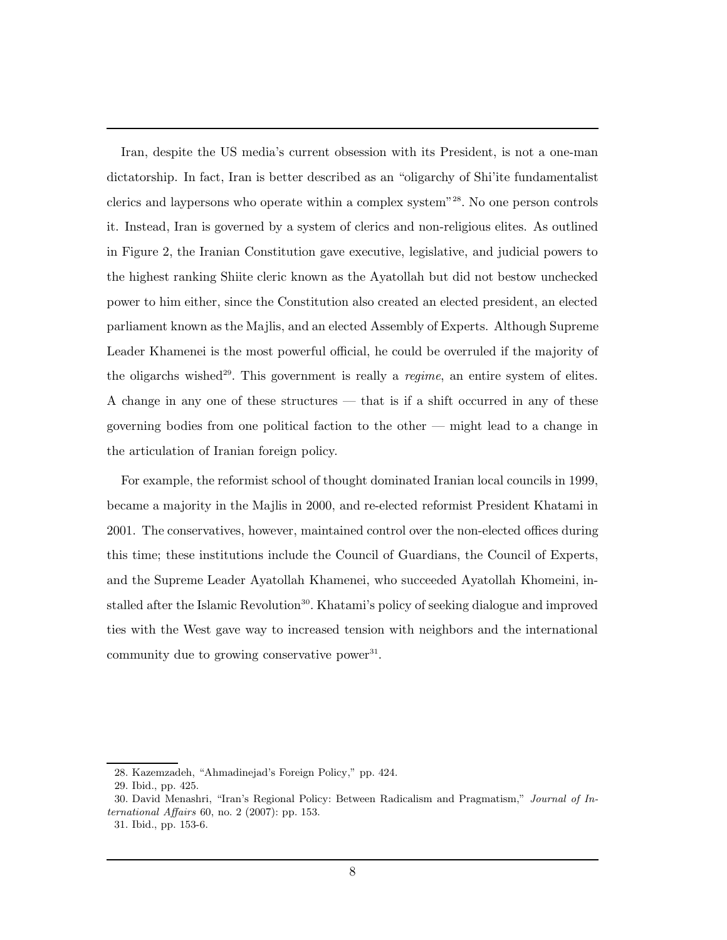Iran, despite the US media's current obsession with its President, is not a one-man dictatorship. In fact, Iran is better described as an "oligarchy of Shi'ite fundamentalist clerics and laypersons who operate within a complex system"<sup>28</sup>. No one person controls it. Instead, Iran is governed by a system of clerics and non-religious elites. As outlined in Figure 2, the Iranian Constitution gave executive, legislative, and judicial powers to the highest ranking Shiite cleric known as the Ayatollah but did not bestow unchecked power to him either, since the Constitution also created an elected president, an elected parliament known as the Majlis, and an elected Assembly of Experts. Although Supreme Leader Khamenei is the most powerful official, he could be overruled if the majority of the oligarchs wished<sup>29</sup>. This government is really a *regime*, an entire system of elites. A change in any one of these structures — that is if a shift occurred in any of these governing bodies from one political faction to the other — might lead to a change in the articulation of Iranian foreign policy.

For example, the reformist school of thought dominated Iranian local councils in 1999, became a majority in the Majlis in 2000, and re-elected reformist President Khatami in 2001. The conservatives, however, maintained control over the non-elected offices during this time; these institutions include the Council of Guardians, the Council of Experts, and the Supreme Leader Ayatollah Khamenei, who succeeded Ayatollah Khomeini, installed after the Islamic Revolution<sup>30</sup>. Khatami's policy of seeking dialogue and improved ties with the West gave way to increased tension with neighbors and the international community due to growing conservative power<sup>31</sup>.

<sup>28.</sup> Kazemzadeh, "Ahmadinejad's Foreign Policy," pp. 424.

<sup>29.</sup> Ibid., pp. 425.

<sup>30.</sup> David Menashri, "Iran's Regional Policy: Between Radicalism and Pragmatism," Journal of International Affairs 60, no. 2 (2007): pp. 153.

<sup>31.</sup> Ibid., pp. 153-6.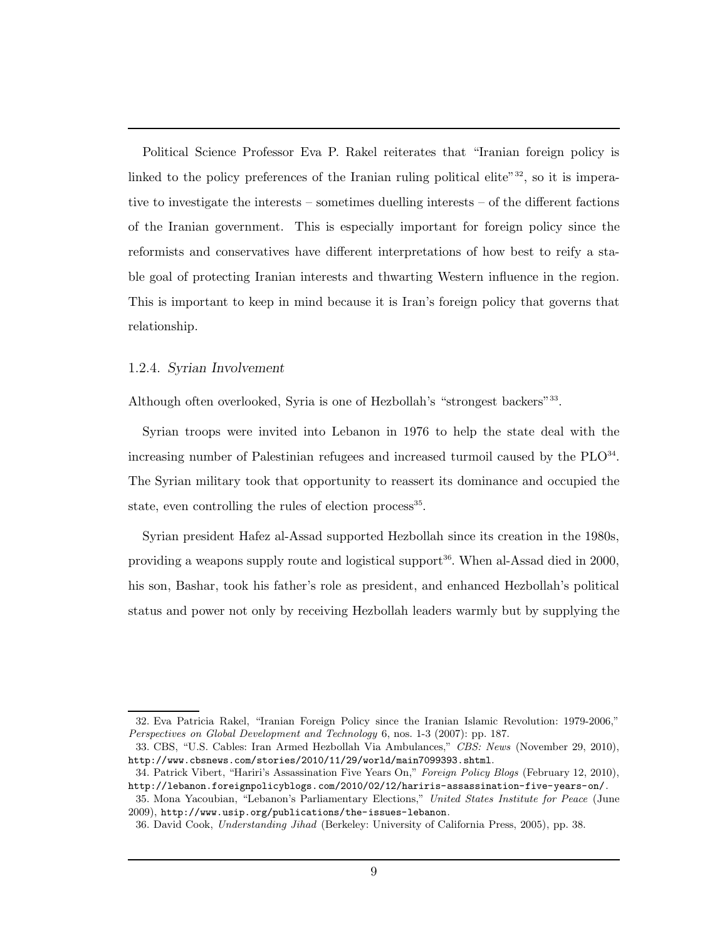Political Science Professor Eva P. Rakel reiterates that "Iranian foreign policy is linked to the policy preferences of the Iranian ruling political elite" $32$ , so it is imperative to investigate the interests – sometimes duelling interests – of the different factions of the Iranian government. This is especially important for foreign policy since the reformists and conservatives have different interpretations of how best to reify a stable goal of protecting Iranian interests and thwarting Western influence in the region. This is important to keep in mind because it is Iran's foreign policy that governs that relationship.

#### 1.2.4. Syrian Involvement

Although often overlooked, Syria is one of Hezbollah's "strongest backers"<sup>33</sup>.

Syrian troops were invited into Lebanon in 1976 to help the state deal with the increasing number of Palestinian refugees and increased turmoil caused by the  $PLO<sup>34</sup>$ . The Syrian military took that opportunity to reassert its dominance and occupied the state, even controlling the rules of election process<sup>35</sup>.

Syrian president Hafez al-Assad supported Hezbollah since its creation in the 1980s, providing a weapons supply route and logistical support<sup>36</sup>. When al-Assad died in 2000, his son, Bashar, took his father's role as president, and enhanced Hezbollah's political status and power not only by receiving Hezbollah leaders warmly but by supplying the

<sup>32.</sup> Eva Patricia Rakel, "Iranian Foreign Policy since the Iranian Islamic Revolution: 1979-2006," Perspectives on Global Development and Technology 6, nos. 1-3 (2007): pp. 187.

<sup>33.</sup> CBS, "U.S. Cables: Iran Armed Hezbollah Via Ambulances," CBS: News (November 29, 2010), http://www.cbsnews.com/stories/2010/11/29/world/main7099393.shtml.

<sup>34.</sup> Patrick Vibert, "Hariri's Assassination Five Years On," Foreign Policy Blogs (February 12, 2010), http://lebanon.foreignpolicyblogs.com/2010/02/12/hariris-assassination-five-years-on/.

<sup>35.</sup> Mona Yacoubian, "Lebanon's Parliamentary Elections," United States Institute for Peace (June 2009), http://www.usip.org/publications/the-issues-lebanon.

<sup>36.</sup> David Cook, Understanding Jihad (Berkeley: University of California Press, 2005), pp. 38.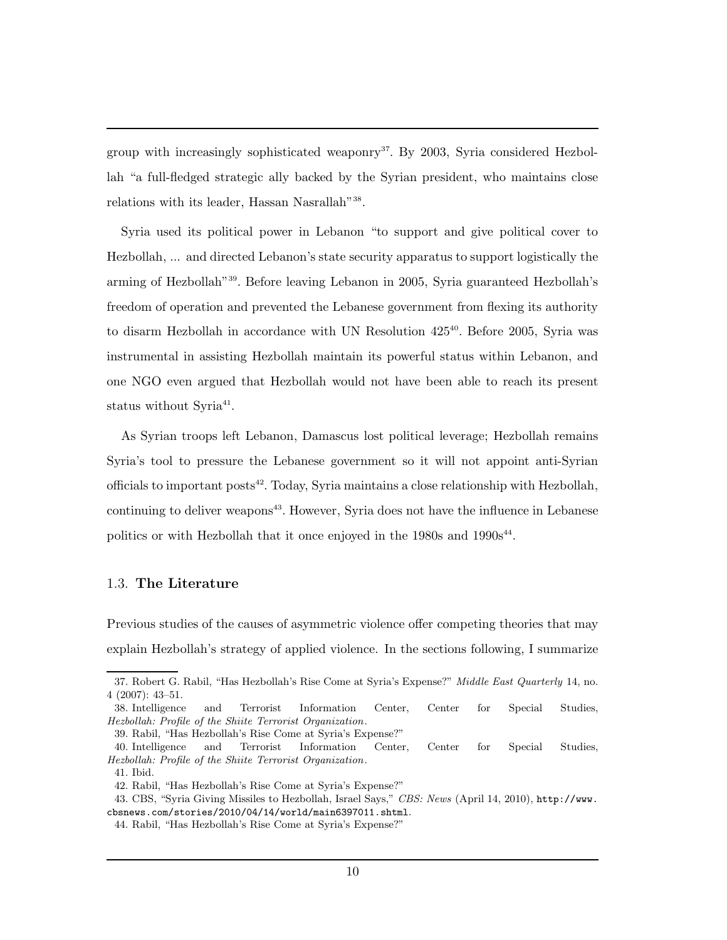group with increasingly sophisticated weaponry<sup>37</sup>. By 2003, Syria considered Hezbollah "a full-fledged strategic ally backed by the Syrian president, who maintains close relations with its leader, Hassan Nasrallah"<sup>38</sup>.

Syria used its political power in Lebanon "to support and give political cover to Hezbollah, ... and directed Lebanon's state security apparatus to support logistically the arming of Hezbollah"<sup>39</sup>. Before leaving Lebanon in 2005, Syria guaranteed Hezbollah's freedom of operation and prevented the Lebanese government from flexing its authority to disarm Hezbollah in accordance with UN Resolution  $425^{40}$ . Before 2005, Syria was instrumental in assisting Hezbollah maintain its powerful status within Lebanon, and one NGO even argued that Hezbollah would not have been able to reach its present status without Syria<sup>41</sup>.

As Syrian troops left Lebanon, Damascus lost political leverage; Hezbollah remains Syria's tool to pressure the Lebanese government so it will not appoint anti-Syrian officials to important posts<sup>42</sup>. Today, Syria maintains a close relationship with Hezbollah, continuing to deliver weapons<sup>43</sup>. However, Syria does not have the influence in Lebanese politics or with Hezbollah that it once enjoyed in the  $1980s$  and  $1990s<sup>44</sup>$ .

## 1.3. The Literature

Previous studies of the causes of asymmetric violence offer competing theories that may explain Hezbollah's strategy of applied violence. In the sections following, I summarize

<sup>37.</sup> Robert G. Rabil, "Has Hezbollah's Rise Come at Syria's Expense?" Middle East Quarterly 14, no. 4 (2007): 43–51.

<sup>38.</sup> Intelligence and Terrorist Information Center, Center for Special Studies, Hezbollah: Profile of the Shiite Terrorist Organization.

<sup>39.</sup> Rabil, "Has Hezbollah's Rise Come at Syria's Expense?"

<sup>40.</sup> Intelligence and Terrorist Information Center, Center for Special Studies, Hezbollah: Profile of the Shiite Terrorist Organization.

<sup>41.</sup> Ibid.

<sup>42.</sup> Rabil, "Has Hezbollah's Rise Come at Syria's Expense?"

<sup>43.</sup> CBS, "Syria Giving Missiles to Hezbollah, Israel Says," CBS: News (April 14, 2010), http://www. cbsnews.com/stories/2010/04/14/world/main6397011.shtml.

<sup>44.</sup> Rabil, "Has Hezbollah's Rise Come at Syria's Expense?"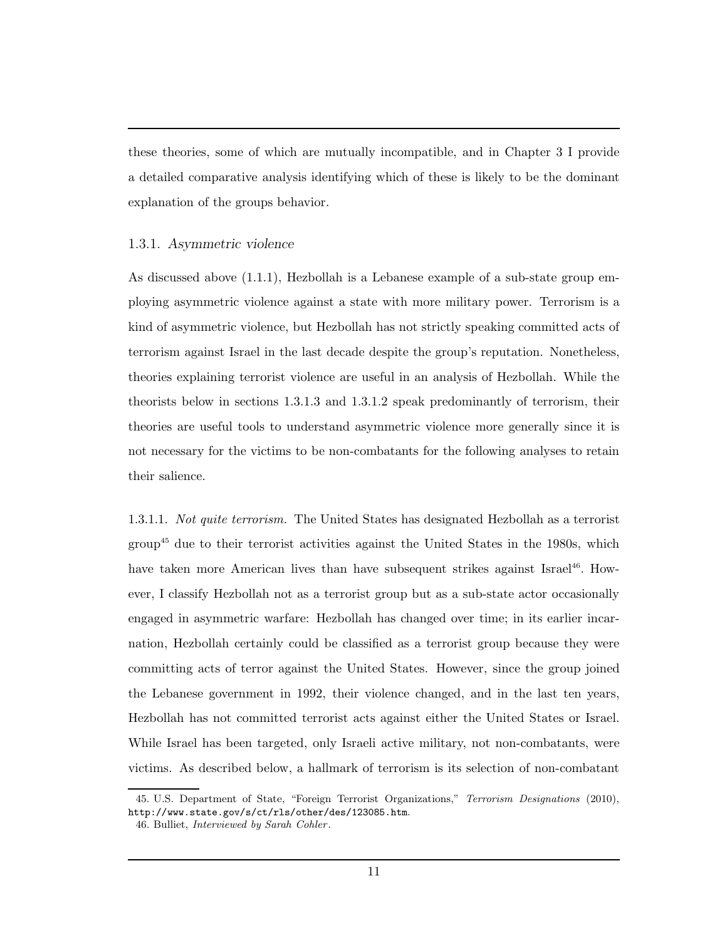these theories, some of which are mutually incompatible, and in Chapter 3 I provide a detailed comparative analysis identifying which of these is likely to be the dominant explanation of the groups behavior.

## 1.3.1. Asymmetric violence

As discussed above (1.1.1), Hezbollah is a Lebanese example of a sub-state group employing asymmetric violence against a state with more military power. Terrorism is a kind of asymmetric violence, but Hezbollah has not strictly speaking committed acts of terrorism against Israel in the last decade despite the group's reputation. Nonetheless, theories explaining terrorist violence are useful in an analysis of Hezbollah. While the theorists below in sections 1.3.1.3 and 1.3.1.2 speak predominantly of terrorism, their theories are useful tools to understand asymmetric violence more generally since it is not necessary for the victims to be non-combatants for the following analyses to retain their salience.

1.3.1.1. Not quite terrorism. The United States has designated Hezbollah as a terrorist group<sup>45</sup> due to their terrorist activities against the United States in the 1980s, which have taken more American lives than have subsequent strikes against Israel<sup>46</sup>. However, I classify Hezbollah not as a terrorist group but as a sub-state actor occasionally engaged in asymmetric warfare: Hezbollah has changed over time; in its earlier incarnation, Hezbollah certainly could be classified as a terrorist group because they were committing acts of terror against the United States. However, since the group joined the Lebanese government in 1992, their violence changed, and in the last ten years, Hezbollah has not committed terrorist acts against either the United States or Israel. While Israel has been targeted, only Israeli active military, not non-combatants, were victims. As described below, a hallmark of terrorism is its selection of non-combatant

<sup>45.</sup> U.S. Department of State, "Foreign Terrorist Organizations," Terrorism Designations (2010), http://www.state.gov/s/ct/rls/other/des/123085.htm.

<sup>46.</sup> Bulliet, Interviewed by Sarah Cohler .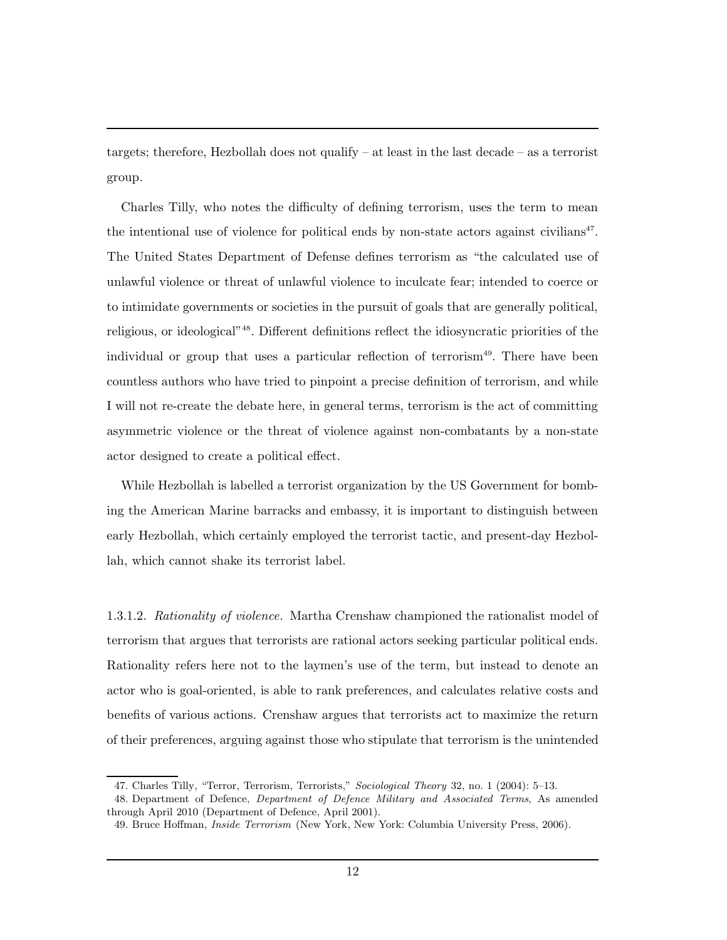targets; therefore, Hezbollah does not qualify – at least in the last decade – as a terrorist group.

Charles Tilly, who notes the difficulty of defining terrorism, uses the term to mean the intentional use of violence for political ends by non-state actors against civilians<sup>47</sup>. The United States Department of Defense defines terrorism as "the calculated use of unlawful violence or threat of unlawful violence to inculcate fear; intended to coerce or to intimidate governments or societies in the pursuit of goals that are generally political, religious, or ideological"<sup>48</sup>. Different definitions reflect the idiosyncratic priorities of the individual or group that uses a particular reflection of terrorism<sup>49</sup>. There have been countless authors who have tried to pinpoint a precise definition of terrorism, and while I will not re-create the debate here, in general terms, terrorism is the act of committing asymmetric violence or the threat of violence against non-combatants by a non-state actor designed to create a political effect.

While Hezbollah is labelled a terrorist organization by the US Government for bombing the American Marine barracks and embassy, it is important to distinguish between early Hezbollah, which certainly employed the terrorist tactic, and present-day Hezbollah, which cannot shake its terrorist label.

1.3.1.2. Rationality of violence. Martha Crenshaw championed the rationalist model of terrorism that argues that terrorists are rational actors seeking particular political ends. Rationality refers here not to the laymen's use of the term, but instead to denote an actor who is goal-oriented, is able to rank preferences, and calculates relative costs and benefits of various actions. Crenshaw argues that terrorists act to maximize the return of their preferences, arguing against those who stipulate that terrorism is the unintended

<sup>47.</sup> Charles Tilly, "Terror, Terrorism, Terrorists," Sociological Theory 32, no. 1 (2004): 5–13.

<sup>48.</sup> Department of Defence, Department of Defence Military and Associated Terms, As amended through April 2010 (Department of Defence, April 2001).

<sup>49.</sup> Bruce Hoffman, Inside Terrorism (New York, New York: Columbia University Press, 2006).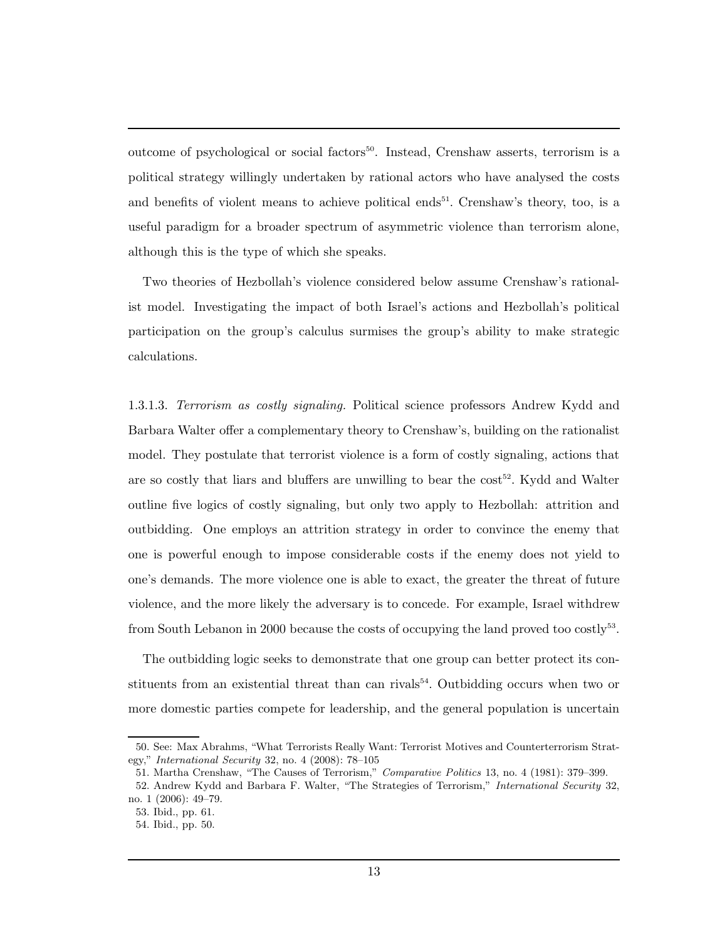outcome of psychological or social factors<sup>50</sup>. Instead, Crenshaw asserts, terrorism is a political strategy willingly undertaken by rational actors who have analysed the costs and benefits of violent means to achieve political ends<sup>51</sup>. Crenshaw's theory, too, is a useful paradigm for a broader spectrum of asymmetric violence than terrorism alone, although this is the type of which she speaks.

Two theories of Hezbollah's violence considered below assume Crenshaw's rationalist model. Investigating the impact of both Israel's actions and Hezbollah's political participation on the group's calculus surmises the group's ability to make strategic calculations.

1.3.1.3. Terrorism as costly signaling. Political science professors Andrew Kydd and Barbara Walter offer a complementary theory to Crenshaw's, building on the rationalist model. They postulate that terrorist violence is a form of costly signaling, actions that are so costly that liars and bluffers are unwilling to bear the  $cost<sup>52</sup>$ . Kydd and Walter outline five logics of costly signaling, but only two apply to Hezbollah: attrition and outbidding. One employs an attrition strategy in order to convince the enemy that one is powerful enough to impose considerable costs if the enemy does not yield to one's demands. The more violence one is able to exact, the greater the threat of future violence, and the more likely the adversary is to concede. For example, Israel withdrew from South Lebanon in 2000 because the costs of occupying the land proved too  $\text{costly}^{53}$ .

The outbidding logic seeks to demonstrate that one group can better protect its constituents from an existential threat than can rivals<sup>54</sup>. Outbidding occurs when two or more domestic parties compete for leadership, and the general population is uncertain

<sup>50.</sup> See: Max Abrahms, "What Terrorists Really Want: Terrorist Motives and Counterterrorism Strategy," International Security 32, no. 4 (2008): 78–105

<sup>51.</sup> Martha Crenshaw, "The Causes of Terrorism," Comparative Politics 13, no. 4 (1981): 379–399.

<sup>52.</sup> Andrew Kydd and Barbara F. Walter, "The Strategies of Terrorism," International Security 32, no. 1 (2006): 49–79.

<sup>53.</sup> Ibid., pp. 61.

<sup>54.</sup> Ibid., pp. 50.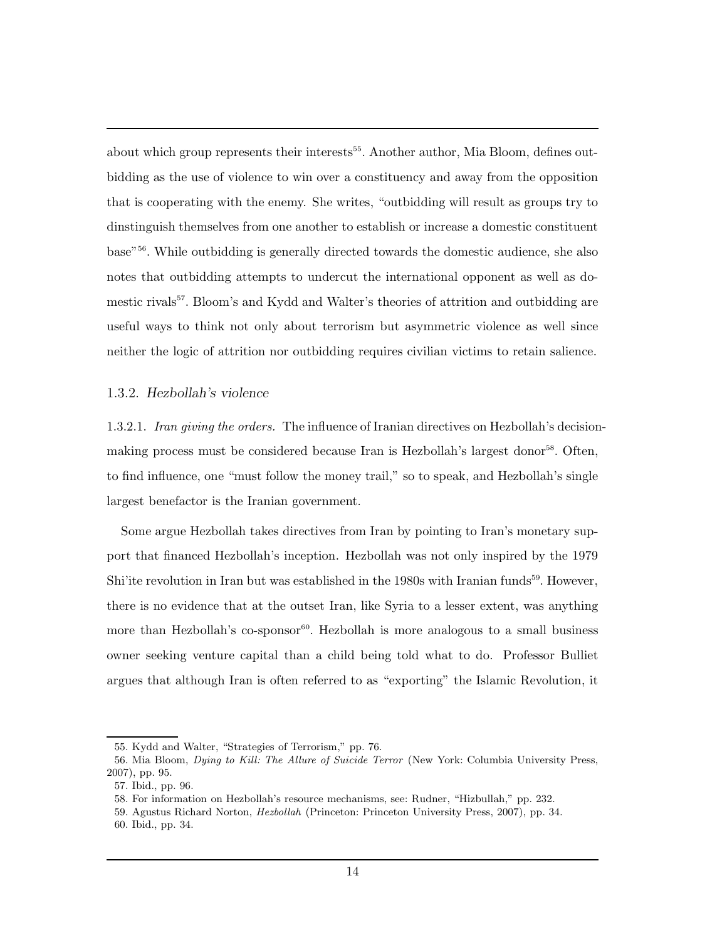about which group represents their interests<sup>55</sup>. Another author, Mia Bloom, defines outbidding as the use of violence to win over a constituency and away from the opposition that is cooperating with the enemy. She writes, "outbidding will result as groups try to dinstinguish themselves from one another to establish or increase a domestic constituent base"<sup>56</sup>. While outbidding is generally directed towards the domestic audience, she also notes that outbidding attempts to undercut the international opponent as well as domestic rivals<sup>57</sup>. Bloom's and Kydd and Walter's theories of attrition and outbidding are useful ways to think not only about terrorism but asymmetric violence as well since neither the logic of attrition nor outbidding requires civilian victims to retain salience.

## 1.3.2. Hezbollah's violence

1.3.2.1. Iran giving the orders. The influence of Iranian directives on Hezbollah's decisionmaking process must be considered because Iran is Hezbollah's largest donor<sup>58</sup>. Often, to find influence, one "must follow the money trail," so to speak, and Hezbollah's single largest benefactor is the Iranian government.

Some argue Hezbollah takes directives from Iran by pointing to Iran's monetary support that financed Hezbollah's inception. Hezbollah was not only inspired by the 1979 Shi'ite revolution in Iran but was established in the 1980s with Iranian funds<sup>59</sup>. However, there is no evidence that at the outset Iran, like Syria to a lesser extent, was anything more than Hezbollah's  $\cos p$  ms  $^{-60}$ . Hezbollah is more analogous to a small business owner seeking venture capital than a child being told what to do. Professor Bulliet argues that although Iran is often referred to as "exporting" the Islamic Revolution, it

<sup>55.</sup> Kydd and Walter, "Strategies of Terrorism," pp. 76.

<sup>56.</sup> Mia Bloom, Dying to Kill: The Allure of Suicide Terror (New York: Columbia University Press, 2007), pp. 95.

<sup>57.</sup> Ibid., pp. 96.

<sup>58.</sup> For information on Hezbollah's resource mechanisms, see: Rudner, "Hizbullah," pp. 232.

<sup>59.</sup> Agustus Richard Norton, Hezbollah (Princeton: Princeton University Press, 2007), pp. 34.

<sup>60.</sup> Ibid., pp. 34.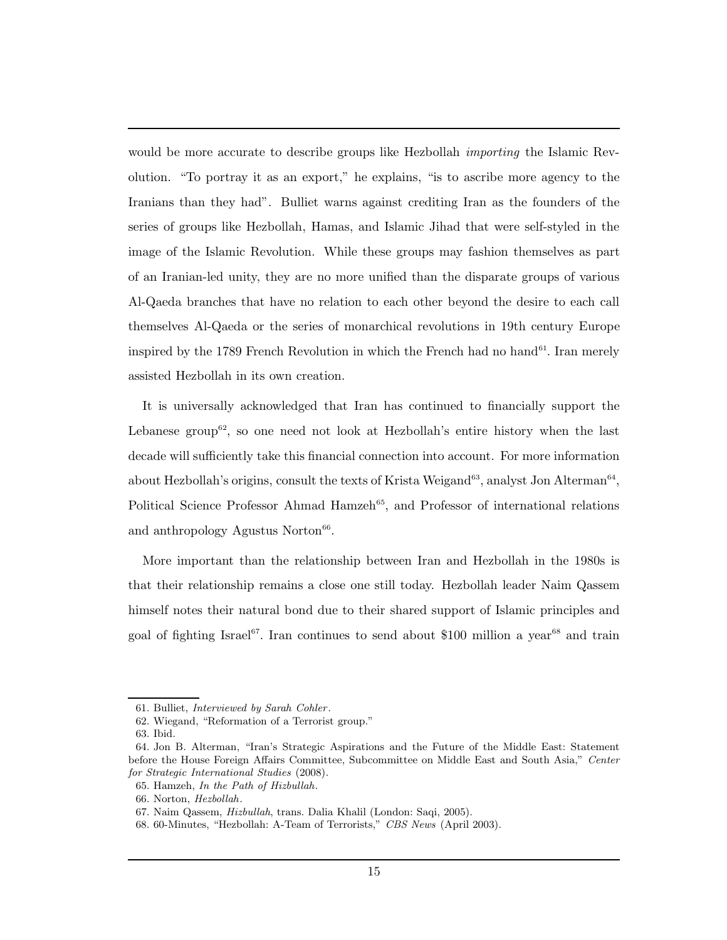would be more accurate to describe groups like Hezbollah *importing* the Islamic Revolution. "To portray it as an export," he explains, "is to ascribe more agency to the Iranians than they had". Bulliet warns against crediting Iran as the founders of the series of groups like Hezbollah, Hamas, and Islamic Jihad that were self-styled in the image of the Islamic Revolution. While these groups may fashion themselves as part of an Iranian-led unity, they are no more unified than the disparate groups of various Al-Qaeda branches that have no relation to each other beyond the desire to each call themselves Al-Qaeda or the series of monarchical revolutions in 19th century Europe inspired by the 1789 French Revolution in which the French had no hand<sup>61</sup>. Iran merely assisted Hezbollah in its own creation.

It is universally acknowledged that Iran has continued to financially support the Lebanese group<sup>62</sup>, so one need not look at Hezbollah's entire history when the last decade will sufficiently take this financial connection into account. For more information about Hezbollah's origins, consult the texts of Krista Weigand<sup>63</sup>, analyst Jon Alterman<sup>64</sup>, Political Science Professor Ahmad Hamzeh<sup>65</sup>, and Professor of international relations and anthropology Agustus Norton $66$ .

More important than the relationship between Iran and Hezbollah in the 1980s is that their relationship remains a close one still today. Hezbollah leader Naim Qassem himself notes their natural bond due to their shared support of Islamic principles and goal of fighting Israel<sup>67</sup>. Iran continues to send about \$100 million a year<sup>68</sup> and train

<sup>61.</sup> Bulliet, Interviewed by Sarah Cohler .

<sup>62.</sup> Wiegand, "Reformation of a Terrorist group."

<sup>63.</sup> Ibid.

<sup>64.</sup> Jon B. Alterman, "Iran's Strategic Aspirations and the Future of the Middle East: Statement before the House Foreign Affairs Committee, Subcommittee on Middle East and South Asia," Center for Strategic International Studies (2008).

<sup>65.</sup> Hamzeh, In the Path of Hizbullah.

<sup>66.</sup> Norton, Hezbollah.

<sup>67.</sup> Naim Qassem, Hizbullah, trans. Dalia Khalil (London: Saqi, 2005).

<sup>68. 60-</sup>Minutes, "Hezbollah: A-Team of Terrorists," CBS News (April 2003).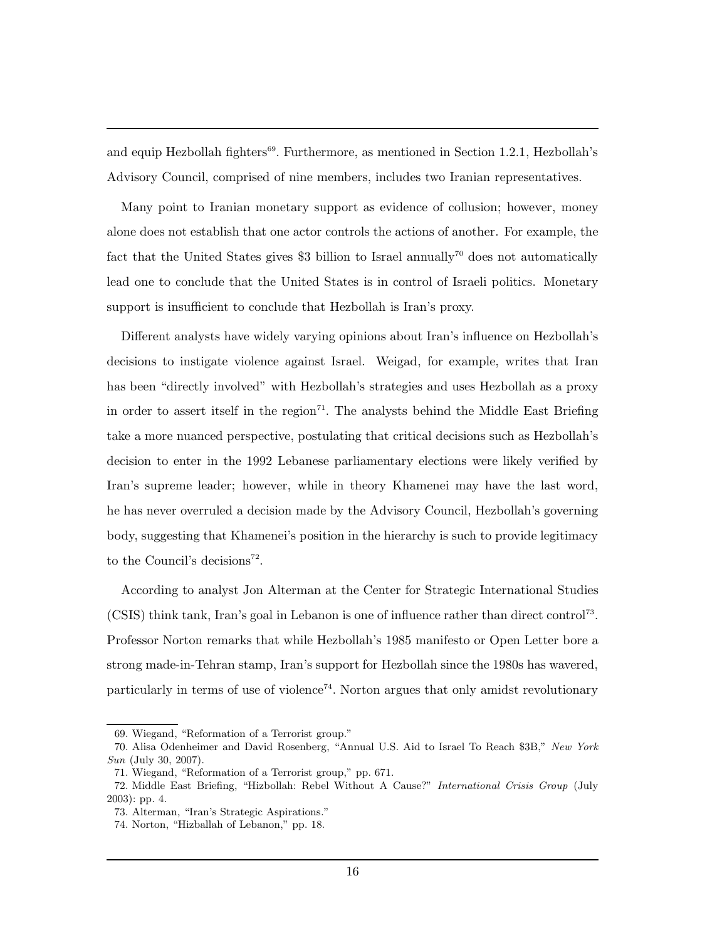and equip Hezbollah fighters<sup>69</sup>. Furthermore, as mentioned in Section 1.2.1, Hezbollah's Advisory Council, comprised of nine members, includes two Iranian representatives.

Many point to Iranian monetary support as evidence of collusion; however, money alone does not establish that one actor controls the actions of another. For example, the fact that the United States gives \$3 billion to Israel annually<sup>70</sup> does not automatically lead one to conclude that the United States is in control of Israeli politics. Monetary support is insufficient to conclude that Hezbollah is Iran's proxy.

Different analysts have widely varying opinions about Iran's influence on Hezbollah's decisions to instigate violence against Israel. Weigad, for example, writes that Iran has been "directly involved" with Hezbollah's strategies and uses Hezbollah as a proxy in order to assert itself in the region<sup> $71$ </sup>. The analysts behind the Middle East Briefing take a more nuanced perspective, postulating that critical decisions such as Hezbollah's decision to enter in the 1992 Lebanese parliamentary elections were likely verified by Iran's supreme leader; however, while in theory Khamenei may have the last word, he has never overruled a decision made by the Advisory Council, Hezbollah's governing body, suggesting that Khamenei's position in the hierarchy is such to provide legitimacy to the Council's decisions<sup>72</sup>.

According to analyst Jon Alterman at the Center for Strategic International Studies (CSIS) think tank, Iran's goal in Lebanon is one of influence rather than direct control<sup>73</sup>. Professor Norton remarks that while Hezbollah's 1985 manifesto or Open Letter bore a strong made-in-Tehran stamp, Iran's support for Hezbollah since the 1980s has wavered, particularly in terms of use of violence<sup> $74$ </sup>. Norton argues that only amidst revolutionary

<sup>69.</sup> Wiegand, "Reformation of a Terrorist group."

<sup>70.</sup> Alisa Odenheimer and David Rosenberg, "Annual U.S. Aid to Israel To Reach \$3B," New York Sun (July 30, 2007).

<sup>71.</sup> Wiegand, "Reformation of a Terrorist group," pp. 671.

<sup>72.</sup> Middle East Briefing, "Hizbollah: Rebel Without A Cause?" International Crisis Group (July 2003): pp. 4.

<sup>73.</sup> Alterman, "Iran's Strategic Aspirations."

<sup>74.</sup> Norton, "Hizballah of Lebanon," pp. 18.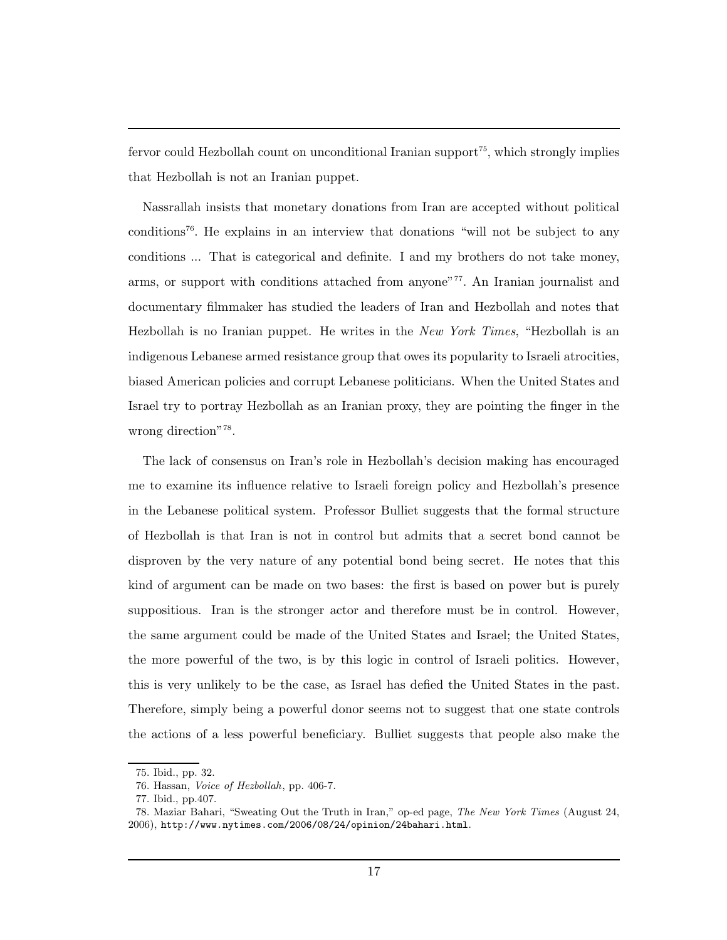fervor could Hezbollah count on unconditional Iranian support<sup>75</sup>, which strongly implies that Hezbollah is not an Iranian puppet.

Nassrallah insists that monetary donations from Iran are accepted without political  $conditions^{76}$ . He explains in an interview that donations "will not be subject to any conditions ... That is categorical and definite. I and my brothers do not take money, arms, or support with conditions attached from anyone"<sup>77</sup>. An Iranian journalist and documentary filmmaker has studied the leaders of Iran and Hezbollah and notes that Hezbollah is no Iranian puppet. He writes in the New York Times, "Hezbollah is an indigenous Lebanese armed resistance group that owes its popularity to Israeli atrocities, biased American policies and corrupt Lebanese politicians. When the United States and Israel try to portray Hezbollah as an Iranian proxy, they are pointing the finger in the wrong direction"<sup>78</sup>.

The lack of consensus on Iran's role in Hezbollah's decision making has encouraged me to examine its influence relative to Israeli foreign policy and Hezbollah's presence in the Lebanese political system. Professor Bulliet suggests that the formal structure of Hezbollah is that Iran is not in control but admits that a secret bond cannot be disproven by the very nature of any potential bond being secret. He notes that this kind of argument can be made on two bases: the first is based on power but is purely suppositious. Iran is the stronger actor and therefore must be in control. However, the same argument could be made of the United States and Israel; the United States, the more powerful of the two, is by this logic in control of Israeli politics. However, this is very unlikely to be the case, as Israel has defied the United States in the past. Therefore, simply being a powerful donor seems not to suggest that one state controls the actions of a less powerful beneficiary. Bulliet suggests that people also make the

<sup>75.</sup> Ibid., pp. 32.

<sup>76.</sup> Hassan, Voice of Hezbollah, pp. 406-7.

<sup>77.</sup> Ibid., pp.407.

<sup>78.</sup> Maziar Bahari, "Sweating Out the Truth in Iran," op-ed page, The New York Times (August 24, 2006), http://www.nytimes.com/2006/08/24/opinion/24bahari.html.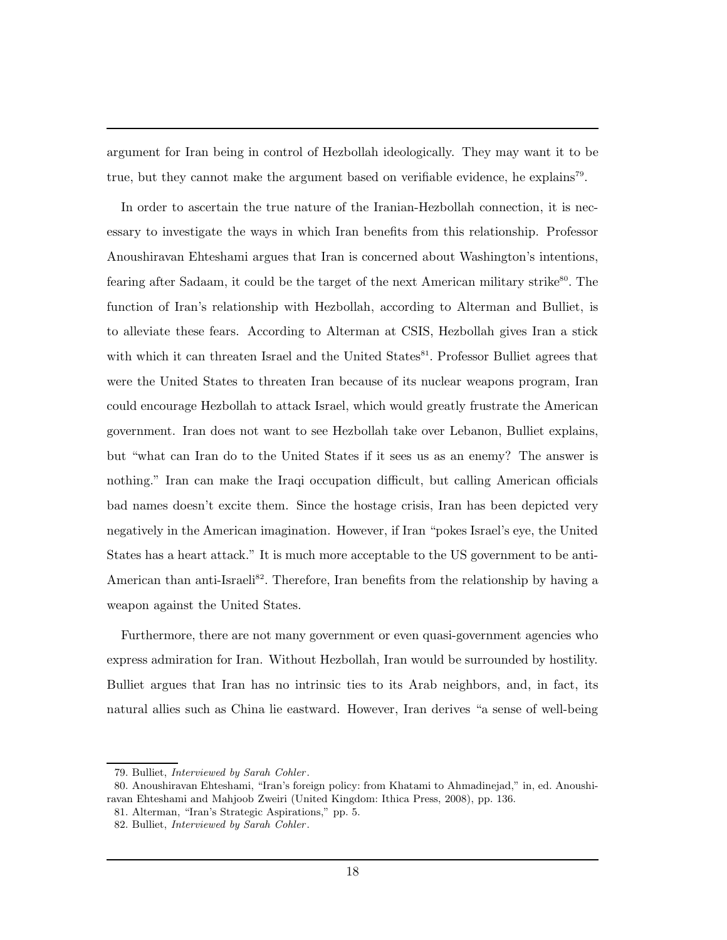argument for Iran being in control of Hezbollah ideologically. They may want it to be true, but they cannot make the argument based on verifiable evidence, he explains<sup>79</sup>.

In order to ascertain the true nature of the Iranian-Hezbollah connection, it is necessary to investigate the ways in which Iran benefits from this relationship. Professor Anoushiravan Ehteshami argues that Iran is concerned about Washington's intentions, fearing after Sadaam, it could be the target of the next American military strike<sup>80</sup>. The function of Iran's relationship with Hezbollah, according to Alterman and Bulliet, is to alleviate these fears. According to Alterman at CSIS, Hezbollah gives Iran a stick with which it can threaten Israel and the United States<sup>81</sup>. Professor Bulliet agrees that were the United States to threaten Iran because of its nuclear weapons program, Iran could encourage Hezbollah to attack Israel, which would greatly frustrate the American government. Iran does not want to see Hezbollah take over Lebanon, Bulliet explains, but "what can Iran do to the United States if it sees us as an enemy? The answer is nothing." Iran can make the Iraqi occupation difficult, but calling American officials bad names doesn't excite them. Since the hostage crisis, Iran has been depicted very negatively in the American imagination. However, if Iran "pokes Israel's eye, the United States has a heart attack." It is much more acceptable to the US government to be anti-American than anti-Israeli<sup>82</sup>. Therefore, Iran benefits from the relationship by having a weapon against the United States.

Furthermore, there are not many government or even quasi-government agencies who express admiration for Iran. Without Hezbollah, Iran would be surrounded by hostility. Bulliet argues that Iran has no intrinsic ties to its Arab neighbors, and, in fact, its natural allies such as China lie eastward. However, Iran derives "a sense of well-being

<sup>79.</sup> Bulliet, Interviewed by Sarah Cohler .

<sup>80.</sup> Anoushiravan Ehteshami, "Iran's foreign policy: from Khatami to Ahmadinejad," in, ed. Anoushiravan Ehteshami and Mahjoob Zweiri (United Kingdom: Ithica Press, 2008), pp. 136.

<sup>81.</sup> Alterman, "Iran's Strategic Aspirations," pp. 5.

<sup>82.</sup> Bulliet, Interviewed by Sarah Cohler.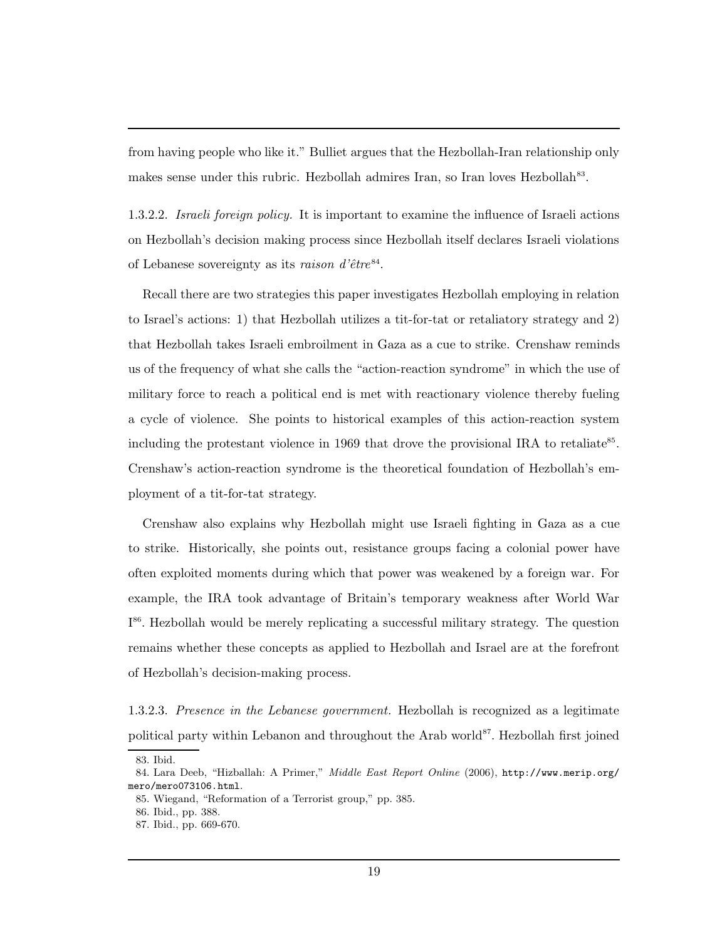from having people who like it." Bulliet argues that the Hezbollah-Iran relationship only makes sense under this rubric. Hezbollah admires Iran, so Iran loves Hezbollah<sup>83</sup>.

1.3.2.2. Israeli foreign policy. It is important to examine the influence of Israeli actions on Hezbollah's decision making process since Hezbollah itself declares Israeli violations of Lebanese sovereignty as its raison d'être<sup>84</sup>.

Recall there are two strategies this paper investigates Hezbollah employing in relation to Israel's actions: 1) that Hezbollah utilizes a tit-for-tat or retaliatory strategy and 2) that Hezbollah takes Israeli embroilment in Gaza as a cue to strike. Crenshaw reminds us of the frequency of what she calls the "action-reaction syndrome" in which the use of military force to reach a political end is met with reactionary violence thereby fueling a cycle of violence. She points to historical examples of this action-reaction system including the protestant violence in 1969 that drove the provisional IRA to retaliate<sup>85</sup>. Crenshaw's action-reaction syndrome is the theoretical foundation of Hezbollah's employment of a tit-for-tat strategy.

Crenshaw also explains why Hezbollah might use Israeli fighting in Gaza as a cue to strike. Historically, she points out, resistance groups facing a colonial power have often exploited moments during which that power was weakened by a foreign war. For example, the IRA took advantage of Britain's temporary weakness after World War I<sup>86</sup>. Hezbollah would be merely replicating a successful military strategy. The question remains whether these concepts as applied to Hezbollah and Israel are at the forefront of Hezbollah's decision-making process.

1.3.2.3. Presence in the Lebanese government. Hezbollah is recognized as a legitimate political party within Lebanon and throughout the Arab world<sup>87</sup>. Hezbollah first joined

<sup>83.</sup> Ibid.

<sup>84.</sup> Lara Deeb, "Hizballah: A Primer," Middle East Report Online (2006), http://www.merip.org/ mero/mero073106.html.

<sup>85.</sup> Wiegand, "Reformation of a Terrorist group," pp. 385.

<sup>86.</sup> Ibid., pp. 388.

<sup>87.</sup> Ibid., pp. 669-670.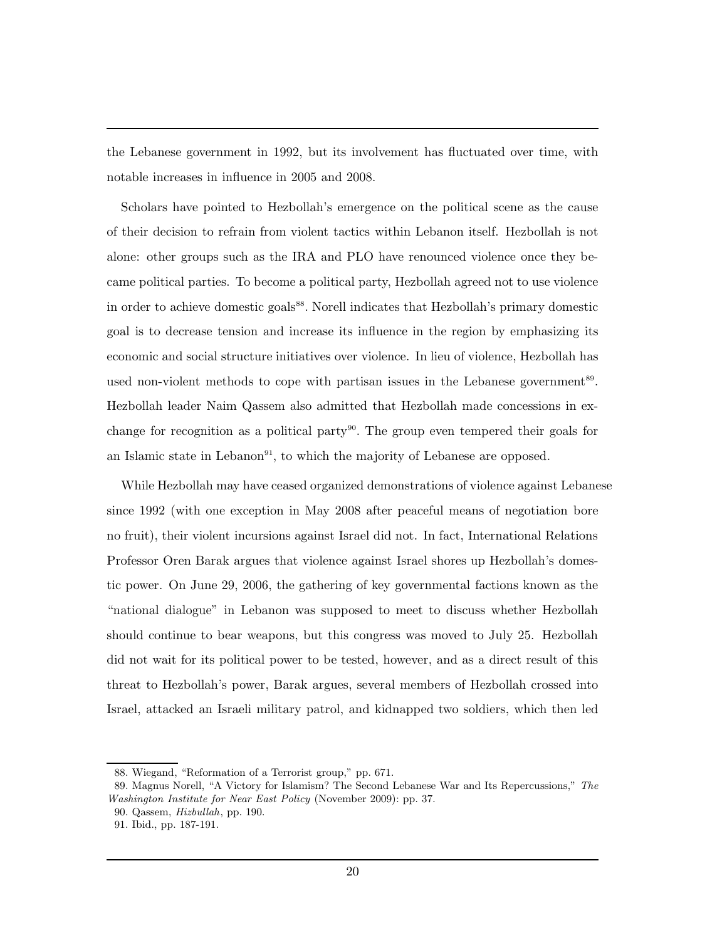the Lebanese government in 1992, but its involvement has fluctuated over time, with notable increases in influence in 2005 and 2008.

Scholars have pointed to Hezbollah's emergence on the political scene as the cause of their decision to refrain from violent tactics within Lebanon itself. Hezbollah is not alone: other groups such as the IRA and PLO have renounced violence once they became political parties. To become a political party, Hezbollah agreed not to use violence in order to achieve domestic goals<sup>88</sup>. Norell indicates that Hezbollah's primary domestic goal is to decrease tension and increase its influence in the region by emphasizing its economic and social structure initiatives over violence. In lieu of violence, Hezbollah has used non-violent methods to cope with partisan issues in the Lebanese government<sup>89</sup>. Hezbollah leader Naim Qassem also admitted that Hezbollah made concessions in exchange for recognition as a political party<sup>90</sup>. The group even tempered their goals for an Islamic state in Lebanon $91$ , to which the majority of Lebanese are opposed.

While Hezbollah may have ceased organized demonstrations of violence against Lebanese since 1992 (with one exception in May 2008 after peaceful means of negotiation bore no fruit), their violent incursions against Israel did not. In fact, International Relations Professor Oren Barak argues that violence against Israel shores up Hezbollah's domestic power. On June 29, 2006, the gathering of key governmental factions known as the "national dialogue" in Lebanon was supposed to meet to discuss whether Hezbollah should continue to bear weapons, but this congress was moved to July 25. Hezbollah did not wait for its political power to be tested, however, and as a direct result of this threat to Hezbollah's power, Barak argues, several members of Hezbollah crossed into Israel, attacked an Israeli military patrol, and kidnapped two soldiers, which then led

<sup>88.</sup> Wiegand, "Reformation of a Terrorist group," pp. 671.

<sup>89.</sup> Magnus Norell, "A Victory for Islamism? The Second Lebanese War and Its Repercussions," The Washington Institute for Near East Policy (November 2009): pp. 37.

<sup>90.</sup> Qassem, Hizbullah, pp. 190.

<sup>91.</sup> Ibid., pp. 187-191.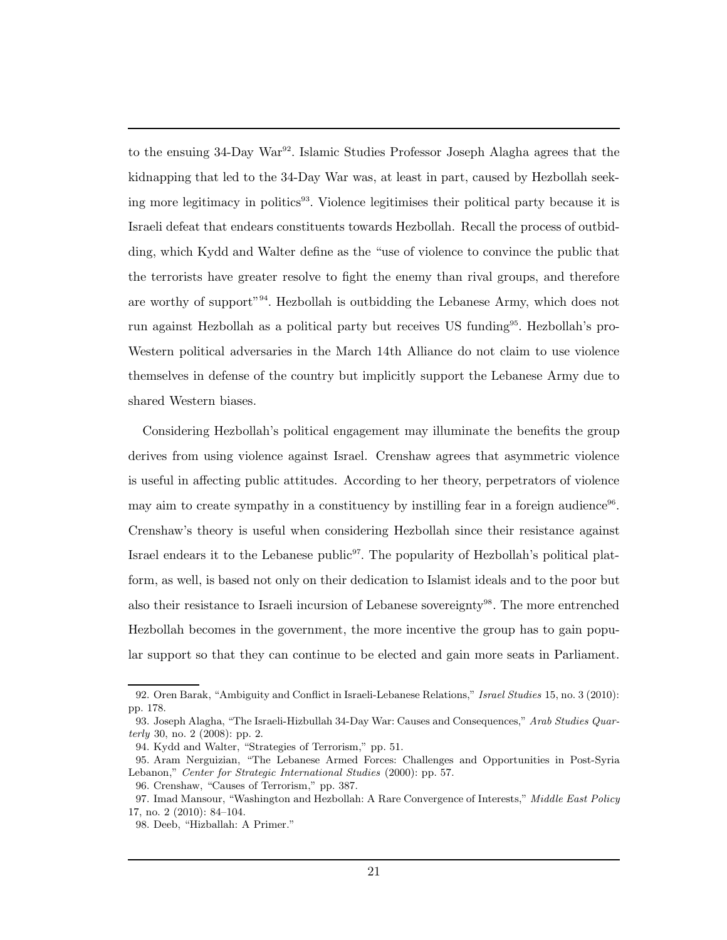to the ensuing 34-Day War<sup>92</sup>. Islamic Studies Professor Joseph Alagha agrees that the kidnapping that led to the 34-Day War was, at least in part, caused by Hezbollah seeking more legitimacy in politics<sup>93</sup>. Violence legitimises their political party because it is Israeli defeat that endears constituents towards Hezbollah. Recall the process of outbidding, which Kydd and Walter define as the "use of violence to convince the public that the terrorists have greater resolve to fight the enemy than rival groups, and therefore are worthy of support"<sup>94</sup>. Hezbollah is outbidding the Lebanese Army, which does not run against Hezbollah as a political party but receives US funding95. Hezbollah's pro-Western political adversaries in the March 14th Alliance do not claim to use violence themselves in defense of the country but implicitly support the Lebanese Army due to shared Western biases.

Considering Hezbollah's political engagement may illuminate the benefits the group derives from using violence against Israel. Crenshaw agrees that asymmetric violence is useful in affecting public attitudes. According to her theory, perpetrators of violence may aim to create sympathy in a constituency by instilling fear in a foreign audience<sup>96</sup>. Crenshaw's theory is useful when considering Hezbollah since their resistance against Israel endears it to the Lebanese public<sup>97</sup>. The popularity of Hezbollah's political platform, as well, is based not only on their dedication to Islamist ideals and to the poor but also their resistance to Israeli incursion of Lebanese sovereignty<sup>98</sup>. The more entrenched Hezbollah becomes in the government, the more incentive the group has to gain popular support so that they can continue to be elected and gain more seats in Parliament.

<sup>92.</sup> Oren Barak, "Ambiguity and Conflict in Israeli-Lebanese Relations," Israel Studies 15, no. 3 (2010): pp. 178.

<sup>93.</sup> Joseph Alagha, "The Israeli-Hizbullah 34-Day War: Causes and Consequences," Arab Studies Quarterly 30, no. 2 (2008): pp. 2.

<sup>94.</sup> Kydd and Walter, "Strategies of Terrorism," pp. 51.

<sup>95.</sup> Aram Nerguizian, "The Lebanese Armed Forces: Challenges and Opportunities in Post-Syria Lebanon," Center for Strategic International Studies (2000): pp. 57.

<sup>96.</sup> Crenshaw, "Causes of Terrorism," pp. 387.

<sup>97.</sup> Imad Mansour, "Washington and Hezbollah: A Rare Convergence of Interests," Middle East Policy 17, no. 2 (2010): 84–104.

<sup>98.</sup> Deeb, "Hizballah: A Primer."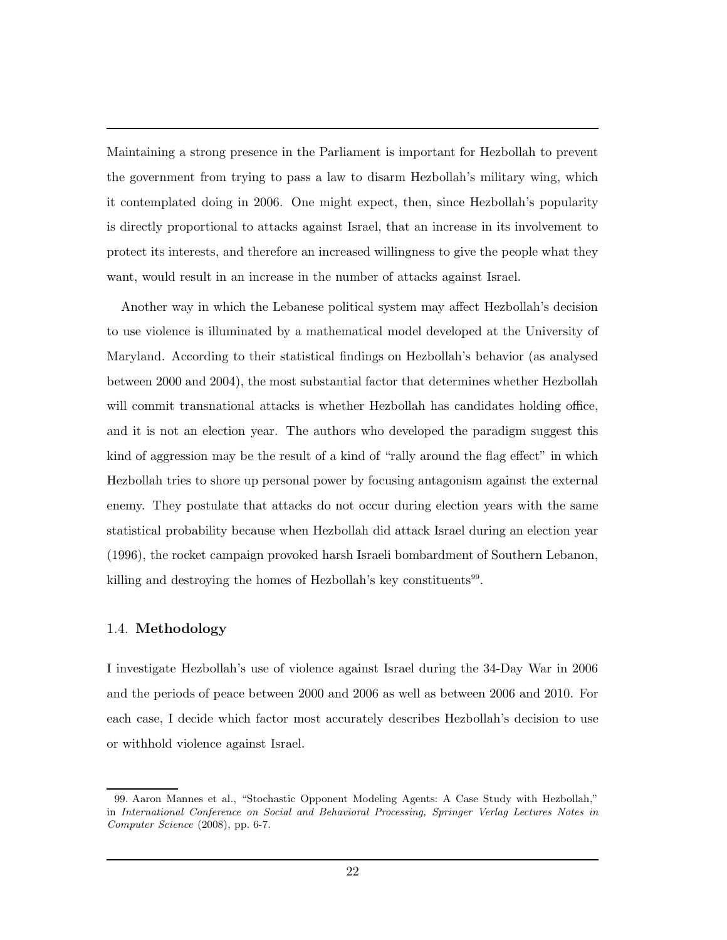Maintaining a strong presence in the Parliament is important for Hezbollah to prevent the government from trying to pass a law to disarm Hezbollah's military wing, which it contemplated doing in 2006. One might expect, then, since Hezbollah's popularity is directly proportional to attacks against Israel, that an increase in its involvement to protect its interests, and therefore an increased willingness to give the people what they want, would result in an increase in the number of attacks against Israel.

Another way in which the Lebanese political system may affect Hezbollah's decision to use violence is illuminated by a mathematical model developed at the University of Maryland. According to their statistical findings on Hezbollah's behavior (as analysed between 2000 and 2004), the most substantial factor that determines whether Hezbollah will commit transnational attacks is whether Hezbollah has candidates holding office, and it is not an election year. The authors who developed the paradigm suggest this kind of aggression may be the result of a kind of "rally around the flag effect" in which Hezbollah tries to shore up personal power by focusing antagonism against the external enemy. They postulate that attacks do not occur during election years with the same statistical probability because when Hezbollah did attack Israel during an election year (1996), the rocket campaign provoked harsh Israeli bombardment of Southern Lebanon, killing and destroying the homes of Hezbollah's key constituents<sup>99</sup>.

### 1.4. Methodology

I investigate Hezbollah's use of violence against Israel during the 34-Day War in 2006 and the periods of peace between 2000 and 2006 as well as between 2006 and 2010. For each case, I decide which factor most accurately describes Hezbollah's decision to use or withhold violence against Israel.

<sup>99.</sup> Aaron Mannes et al., "Stochastic Opponent Modeling Agents: A Case Study with Hezbollah," in International Conference on Social and Behavioral Processing, Springer Verlag Lectures Notes in Computer Science (2008), pp. 6-7.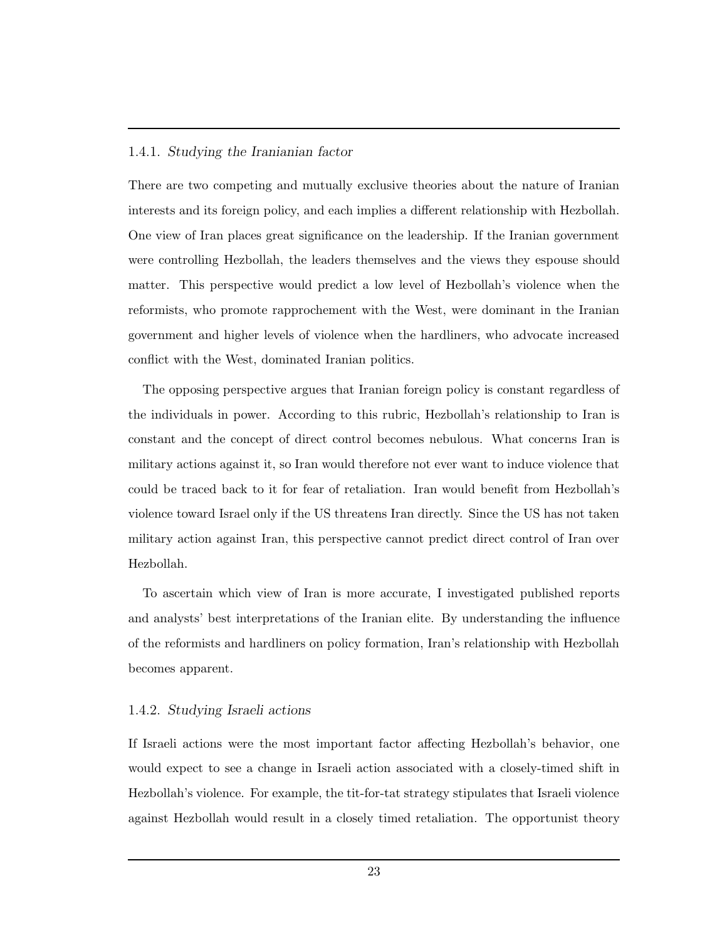### 1.4.1. Studying the Iranianian factor

There are two competing and mutually exclusive theories about the nature of Iranian interests and its foreign policy, and each implies a different relationship with Hezbollah. One view of Iran places great significance on the leadership. If the Iranian government were controlling Hezbollah, the leaders themselves and the views they espouse should matter. This perspective would predict a low level of Hezbollah's violence when the reformists, who promote rapprochement with the West, were dominant in the Iranian government and higher levels of violence when the hardliners, who advocate increased conflict with the West, dominated Iranian politics.

The opposing perspective argues that Iranian foreign policy is constant regardless of the individuals in power. According to this rubric, Hezbollah's relationship to Iran is constant and the concept of direct control becomes nebulous. What concerns Iran is military actions against it, so Iran would therefore not ever want to induce violence that could be traced back to it for fear of retaliation. Iran would benefit from Hezbollah's violence toward Israel only if the US threatens Iran directly. Since the US has not taken military action against Iran, this perspective cannot predict direct control of Iran over Hezbollah.

To ascertain which view of Iran is more accurate, I investigated published reports and analysts' best interpretations of the Iranian elite. By understanding the influence of the reformists and hardliners on policy formation, Iran's relationship with Hezbollah becomes apparent.

## 1.4.2. Studying Israeli actions

If Israeli actions were the most important factor affecting Hezbollah's behavior, one would expect to see a change in Israeli action associated with a closely-timed shift in Hezbollah's violence. For example, the tit-for-tat strategy stipulates that Israeli violence against Hezbollah would result in a closely timed retaliation. The opportunist theory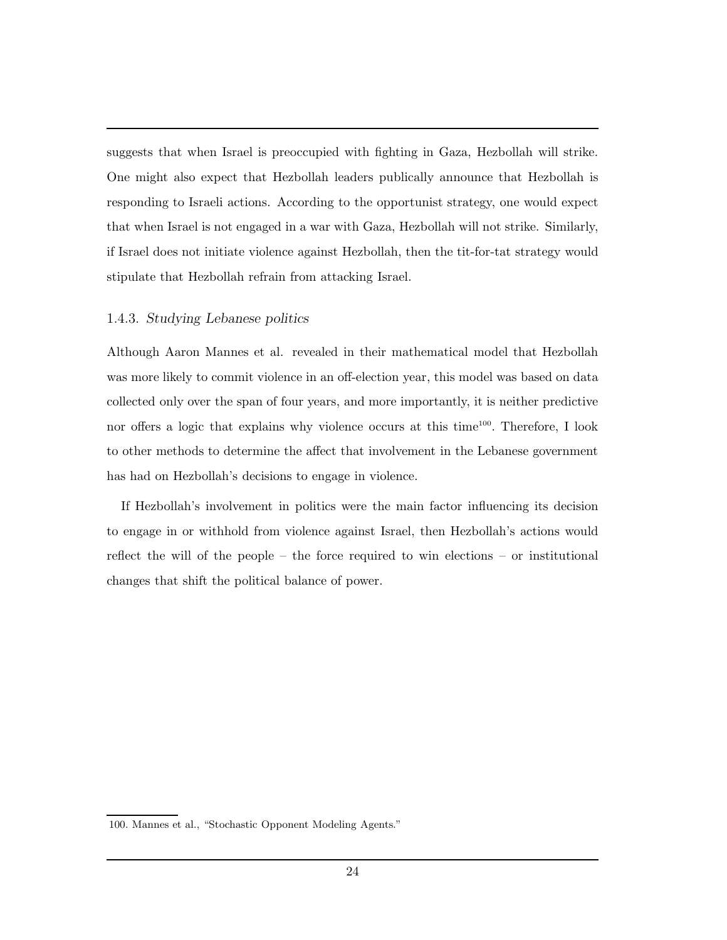suggests that when Israel is preoccupied with fighting in Gaza, Hezbollah will strike. One might also expect that Hezbollah leaders publically announce that Hezbollah is responding to Israeli actions. According to the opportunist strategy, one would expect that when Israel is not engaged in a war with Gaza, Hezbollah will not strike. Similarly, if Israel does not initiate violence against Hezbollah, then the tit-for-tat strategy would stipulate that Hezbollah refrain from attacking Israel.

## 1.4.3. Studying Lebanese politics

Although Aaron Mannes et al. revealed in their mathematical model that Hezbollah was more likely to commit violence in an off-election year, this model was based on data collected only over the span of four years, and more importantly, it is neither predictive nor offers a logic that explains why violence occurs at this time<sup>100</sup>. Therefore, I look to other methods to determine the affect that involvement in the Lebanese government has had on Hezbollah's decisions to engage in violence.

If Hezbollah's involvement in politics were the main factor influencing its decision to engage in or withhold from violence against Israel, then Hezbollah's actions would reflect the will of the people – the force required to win elections – or institutional changes that shift the political balance of power.

<sup>100.</sup> Mannes et al., "Stochastic Opponent Modeling Agents."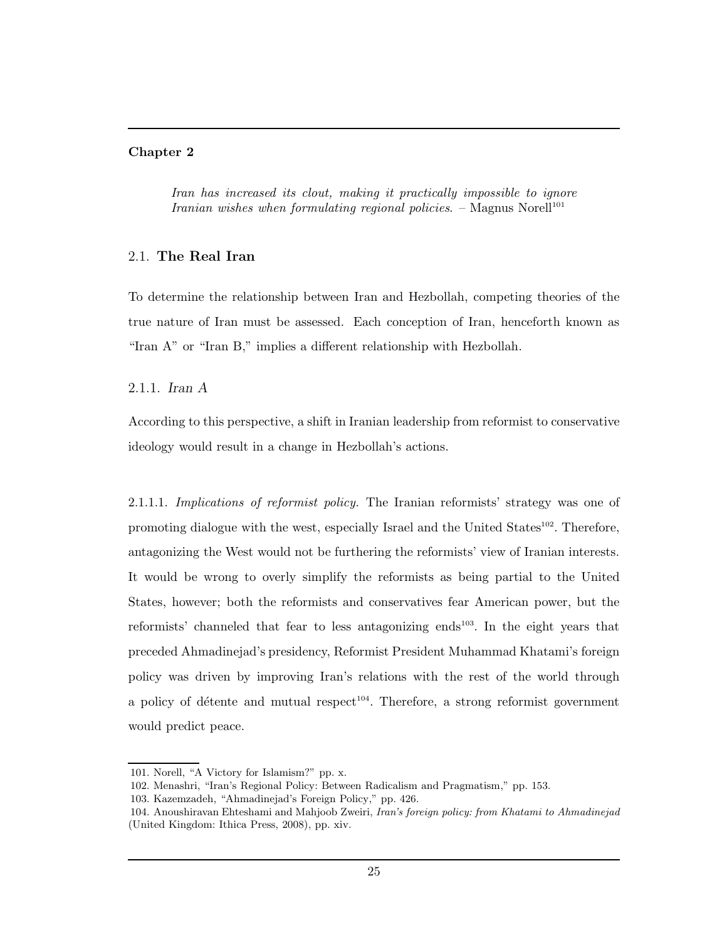#### Chapter 2

Iran has increased its clout, making it practically impossible to ignore Iranian wishes when formulating regional policies.  $-$  Magnus Norell<sup>101</sup>

### 2.1. The Real Iran

To determine the relationship between Iran and Hezbollah, competing theories of the true nature of Iran must be assessed. Each conception of Iran, henceforth known as "Iran A" or "Iran B," implies a different relationship with Hezbollah.

2.1.1. Iran A

According to this perspective, a shift in Iranian leadership from reformist to conservative ideology would result in a change in Hezbollah's actions.

2.1.1.1. Implications of reformist policy. The Iranian reformists' strategy was one of promoting dialogue with the west, especially Israel and the United States<sup>102</sup>. Therefore, antagonizing the West would not be furthering the reformists' view of Iranian interests. It would be wrong to overly simplify the reformists as being partial to the United States, however; both the reformists and conservatives fear American power, but the reformists' channeled that fear to less antagonizing ends<sup>103</sup>. In the eight years that preceded Ahmadinejad's presidency, Reformist President Muhammad Khatami's foreign policy was driven by improving Iran's relations with the rest of the world through a policy of détente and mutual respect<sup>104</sup>. Therefore, a strong reformist government would predict peace.

<sup>101.</sup> Norell, "A Victory for Islamism?" pp. x.

<sup>102.</sup> Menashri, "Iran's Regional Policy: Between Radicalism and Pragmatism," pp. 153.

<sup>103.</sup> Kazemzadeh, "Ahmadinejad's Foreign Policy," pp. 426.

<sup>104.</sup> Anoushiravan Ehteshami and Mahjoob Zweiri, Iran's foreign policy: from Khatami to Ahmadinejad (United Kingdom: Ithica Press, 2008), pp. xiv.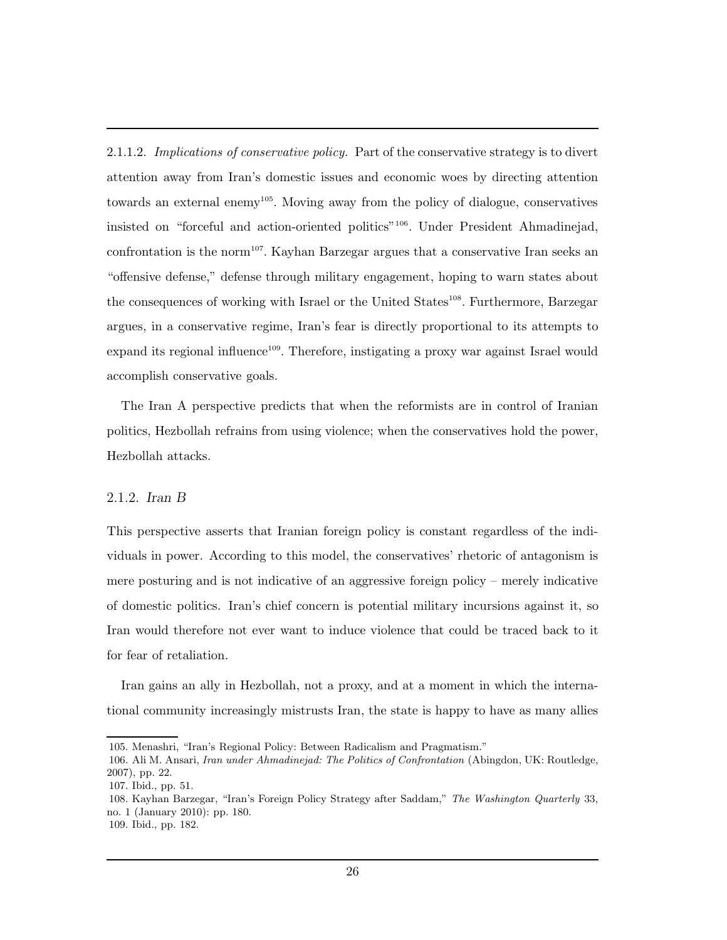2.1.1.2. Implications of conservative policy. Part of the conservative strategy is to divert attention away from Iran's domestic issues and economic woes by directing attention towards an external enemy<sup>105</sup>. Moving away from the policy of dialogue, conservatives insisted on "forceful and action-oriented politics"<sup>106</sup>. Under President Ahmadinejad, confrontation is the norm<sup>107</sup>. Kayhan Barzegar argues that a conservative Iran seeks an "offensive defense," defense through military engagement, hoping to warn states about the consequences of working with Israel or the United States<sup>108</sup>. Furthermore, Barzegar argues, in a conservative regime, Iran's fear is directly proportional to its attempts to expand its regional influence<sup>109</sup>. Therefore, instigating a proxy war against Israel would accomplish conservative goals.

The Iran A perspective predicts that when the reformists are in control of Iranian politics, Hezbollah refrains from using violence; when the conservatives hold the power, Hezbollah attacks.

### 2.1.2. Iran B

This perspective asserts that Iranian foreign policy is constant regardless of the individuals in power. According to this model, the conservatives' rhetoric of antagonism is mere posturing and is not indicative of an aggressive foreign policy – merely indicative of domestic politics. Iran's chief concern is potential military incursions against it, so Iran would therefore not ever want to induce violence that could be traced back to it for fear of retaliation.

Iran gains an ally in Hezbollah, not a proxy, and at a moment in which the international community increasingly mistrusts Iran, the state is happy to have as many allies

<sup>105.</sup> Menashri, "Iran's Regional Policy: Between Radicalism and Pragmatism."

<sup>106.</sup> Ali M. Ansari, Iran under Ahmadinejad: The Politics of Confrontation (Abingdon, UK: Routledge, 2007), pp. 22.

<sup>107.</sup> Ibid., pp. 51.

<sup>108.</sup> Kayhan Barzegar, "Iran's Foreign Policy Strategy after Saddam," The Washington Quarterly 33, no. 1 (January 2010): pp. 180.

<sup>109.</sup> Ibid., pp. 182.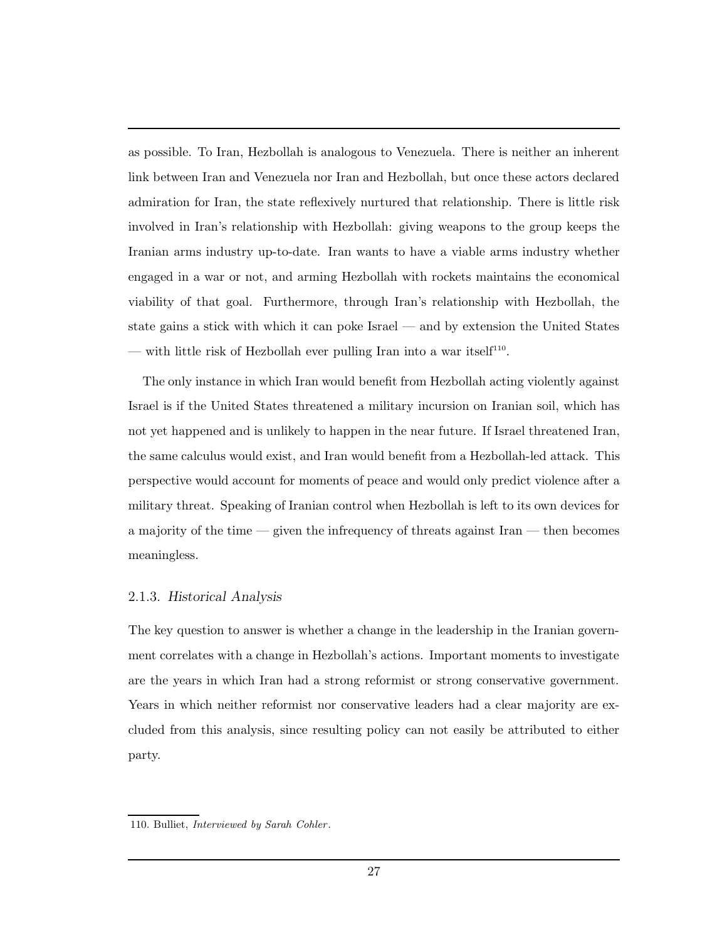as possible. To Iran, Hezbollah is analogous to Venezuela. There is neither an inherent link between Iran and Venezuela nor Iran and Hezbollah, but once these actors declared admiration for Iran, the state reflexively nurtured that relationship. There is little risk involved in Iran's relationship with Hezbollah: giving weapons to the group keeps the Iranian arms industry up-to-date. Iran wants to have a viable arms industry whether engaged in a war or not, and arming Hezbollah with rockets maintains the economical viability of that goal. Furthermore, through Iran's relationship with Hezbollah, the state gains a stick with which it can poke Israel — and by extension the United States — with little risk of Hezbollah ever pulling Iran into a war itself<sup>110</sup>.

The only instance in which Iran would benefit from Hezbollah acting violently against Israel is if the United States threatened a military incursion on Iranian soil, which has not yet happened and is unlikely to happen in the near future. If Israel threatened Iran, the same calculus would exist, and Iran would benefit from a Hezbollah-led attack. This perspective would account for moments of peace and would only predict violence after a military threat. Speaking of Iranian control when Hezbollah is left to its own devices for a majority of the time — given the infrequency of threats against Iran — then becomes meaningless.

## 2.1.3. Historical Analysis

The key question to answer is whether a change in the leadership in the Iranian government correlates with a change in Hezbollah's actions. Important moments to investigate are the years in which Iran had a strong reformist or strong conservative government. Years in which neither reformist nor conservative leaders had a clear majority are excluded from this analysis, since resulting policy can not easily be attributed to either party.

<sup>110.</sup> Bulliet, *Interviewed by Sarah Cohler*.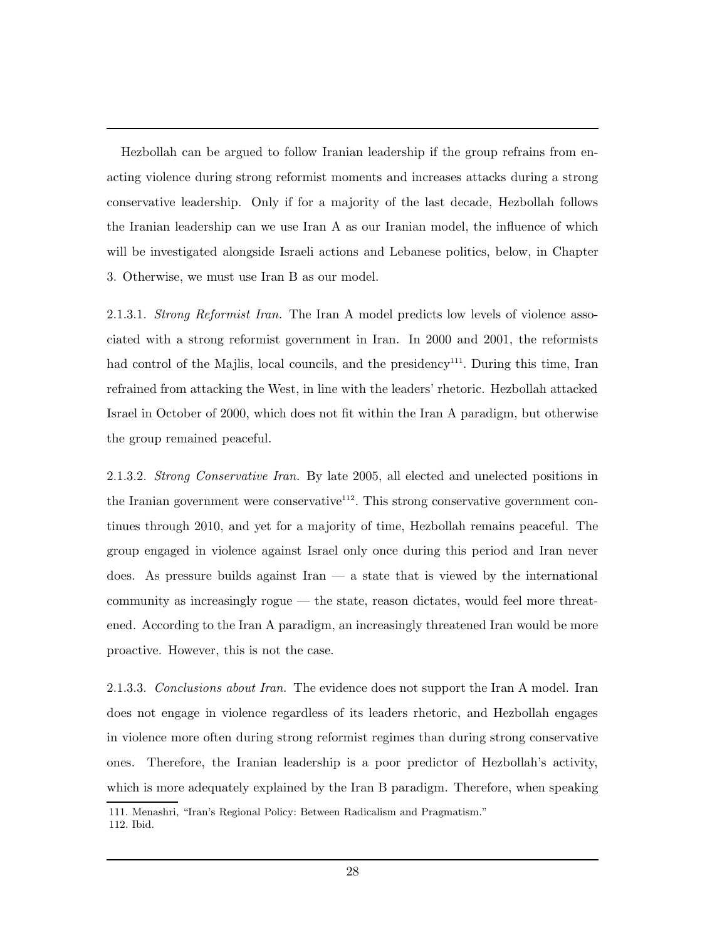Hezbollah can be argued to follow Iranian leadership if the group refrains from enacting violence during strong reformist moments and increases attacks during a strong conservative leadership. Only if for a majority of the last decade, Hezbollah follows the Iranian leadership can we use Iran A as our Iranian model, the influence of which will be investigated alongside Israeli actions and Lebanese politics, below, in Chapter 3. Otherwise, we must use Iran B as our model.

2.1.3.1. Strong Reformist Iran. The Iran A model predicts low levels of violence associated with a strong reformist government in Iran. In 2000 and 2001, the reformists had control of the Majlis, local councils, and the presidency<sup>111</sup>. During this time, Iran refrained from attacking the West, in line with the leaders' rhetoric. Hezbollah attacked Israel in October of 2000, which does not fit within the Iran A paradigm, but otherwise the group remained peaceful.

2.1.3.2. Strong Conservative Iran. By late 2005, all elected and unelected positions in the Iranian government were conservative<sup>112</sup>. This strong conservative government continues through 2010, and yet for a majority of time, Hezbollah remains peaceful. The group engaged in violence against Israel only once during this period and Iran never does. As pressure builds against Iran  $-$  a state that is viewed by the international community as increasingly rogue — the state, reason dictates, would feel more threatened. According to the Iran A paradigm, an increasingly threatened Iran would be more proactive. However, this is not the case.

2.1.3.3. Conclusions about Iran. The evidence does not support the Iran A model. Iran does not engage in violence regardless of its leaders rhetoric, and Hezbollah engages in violence more often during strong reformist regimes than during strong conservative ones. Therefore, the Iranian leadership is a poor predictor of Hezbollah's activity, which is more adequately explained by the Iran B paradigm. Therefore, when speaking

<sup>111.</sup> Menashri, "Iran's Regional Policy: Between Radicalism and Pragmatism." 112. Ibid.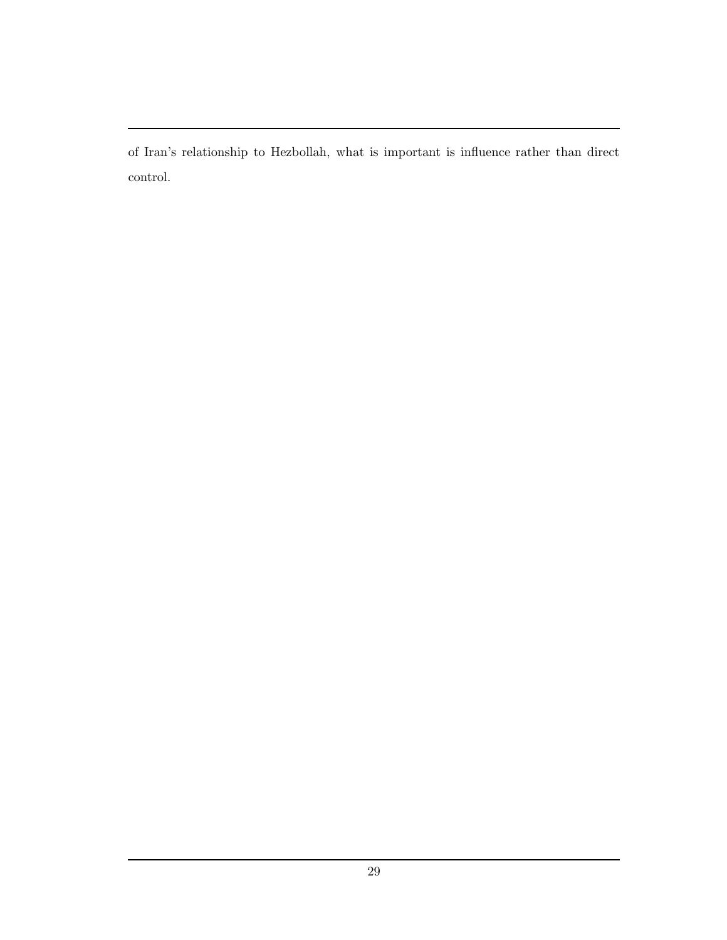of Iran's relationship to Hezbollah, what is important is influence rather than direct control.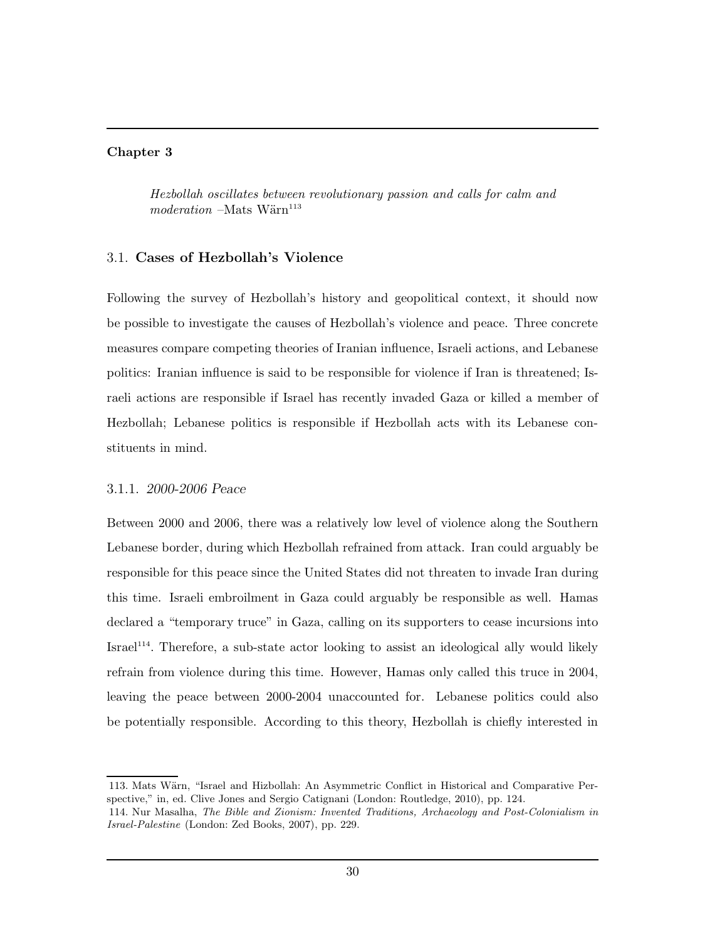### Chapter 3

Hezbollah oscillates between revolutionary passion and calls for calm and  $modern$  –Mats Wärn<sup>113</sup>

## 3.1. Cases of Hezbollah's Violence

Following the survey of Hezbollah's history and geopolitical context, it should now be possible to investigate the causes of Hezbollah's violence and peace. Three concrete measures compare competing theories of Iranian influence, Israeli actions, and Lebanese politics: Iranian influence is said to be responsible for violence if Iran is threatened; Israeli actions are responsible if Israel has recently invaded Gaza or killed a member of Hezbollah; Lebanese politics is responsible if Hezbollah acts with its Lebanese constituents in mind.

## 3.1.1. 2000-2006 Peace

Between 2000 and 2006, there was a relatively low level of violence along the Southern Lebanese border, during which Hezbollah refrained from attack. Iran could arguably be responsible for this peace since the United States did not threaten to invade Iran during this time. Israeli embroilment in Gaza could arguably be responsible as well. Hamas declared a "temporary truce" in Gaza, calling on its supporters to cease incursions into  $Israel<sup>114</sup>$ . Therefore, a sub-state actor looking to assist an ideological ally would likely refrain from violence during this time. However, Hamas only called this truce in 2004, leaving the peace between 2000-2004 unaccounted for. Lebanese politics could also be potentially responsible. According to this theory, Hezbollah is chiefly interested in

<sup>113.</sup> Mats Wärn, "Israel and Hizbollah: An Asymmetric Conflict in Historical and Comparative Perspective," in, ed. Clive Jones and Sergio Catignani (London: Routledge, 2010), pp. 124.

<sup>114.</sup> Nur Masalha, The Bible and Zionism: Invented Traditions, Archaeology and Post-Colonialism in Israel-Palestine (London: Zed Books, 2007), pp. 229.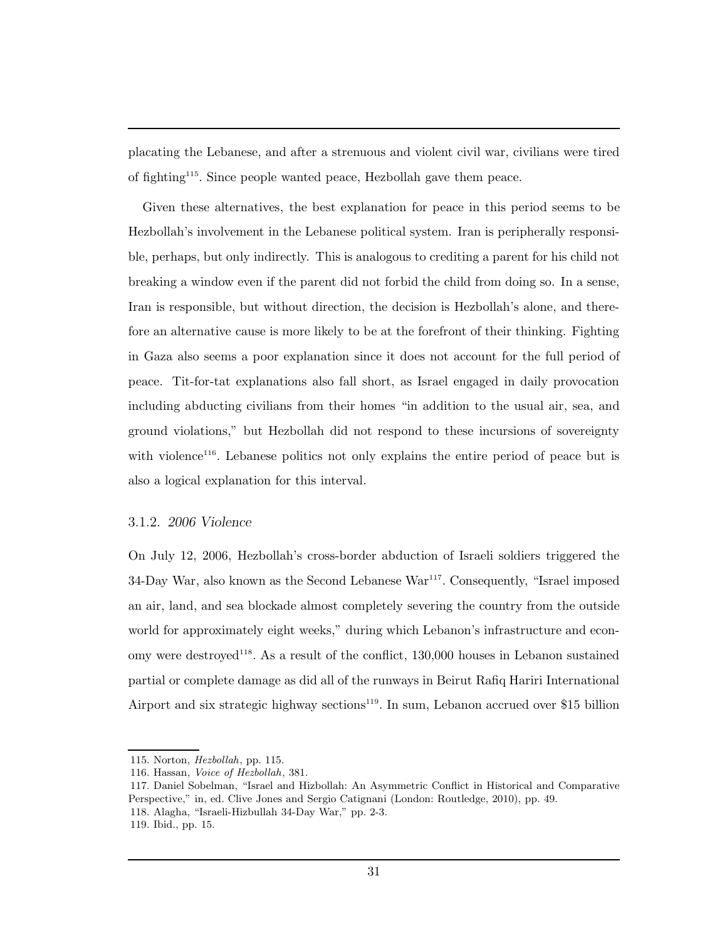placating the Lebanese, and after a strenuous and violent civil war, civilians were tired of fighting<sup>115</sup>. Since people wanted peace, Hezbollah gave them peace.

Given these alternatives, the best explanation for peace in this period seems to be Hezbollah's involvement in the Lebanese political system. Iran is peripherally responsible, perhaps, but only indirectly. This is analogous to crediting a parent for his child not breaking a window even if the parent did not forbid the child from doing so. In a sense, Iran is responsible, but without direction, the decision is Hezbollah's alone, and therefore an alternative cause is more likely to be at the forefront of their thinking. Fighting in Gaza also seems a poor explanation since it does not account for the full period of peace. Tit-for-tat explanations also fall short, as Israel engaged in daily provocation including abducting civilians from their homes "in addition to the usual air, sea, and ground violations," but Hezbollah did not respond to these incursions of sovereignty with violence<sup>116</sup>. Lebanese politics not only explains the entire period of peace but is also a logical explanation for this interval.

## 3.1.2. 2006 Violence

On July 12, 2006, Hezbollah's cross-border abduction of Israeli soldiers triggered the 34-Day War, also known as the Second Lebanese War<sup>117</sup>. Consequently, "Israel imposed an air, land, and sea blockade almost completely severing the country from the outside world for approximately eight weeks," during which Lebanon's infrastructure and economy were destroyed<sup>118</sup>. As a result of the conflict,  $130,000$  houses in Lebanon sustained partial or complete damage as did all of the runways in Beirut Rafiq Hariri International Airport and six strategic highway sections<sup>119</sup>. In sum, Lebanon accrued over \$15 billion

<sup>115.</sup> Norton, Hezbollah, pp. 115.

<sup>116.</sup> Hassan, Voice of Hezbollah, 381.

<sup>117.</sup> Daniel Sobelman, "Israel and Hizbollah: An Asymmetric Conflict in Historical and Comparative Perspective," in, ed. Clive Jones and Sergio Catignani (London: Routledge, 2010), pp. 49. 118. Alagha, "Israeli-Hizbullah 34-Day War," pp. 2-3.

<sup>119.</sup> Ibid., pp. 15.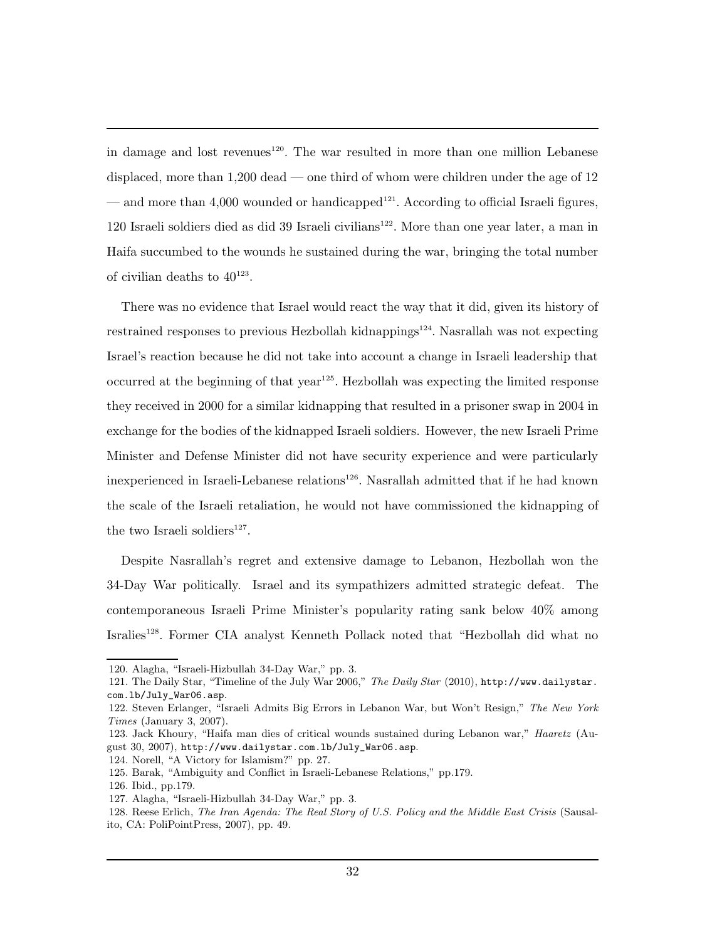in damage and lost revenues<sup>120</sup>. The war resulted in more than one million Lebanese displaced, more than 1,200 dead — one third of whom were children under the age of 12 — and more than 4,000 wounded or handicapped<sup>121</sup>. According to official Israeli figures, 120 Israeli soldiers died as did 39 Israeli civilians<sup>122</sup>. More than one year later, a man in Haifa succumbed to the wounds he sustained during the war, bringing the total number of civilian deaths to  $40^{123}$ .

There was no evidence that Israel would react the way that it did, given its history of restrained responses to previous Hezbollah kidnappings $124$ . Nasrallah was not expecting Israel's reaction because he did not take into account a change in Israeli leadership that occurred at the beginning of that  $year^{125}$ . Hezbollah was expecting the limited response they received in 2000 for a similar kidnapping that resulted in a prisoner swap in 2004 in exchange for the bodies of the kidnapped Israeli soldiers. However, the new Israeli Prime Minister and Defense Minister did not have security experience and were particularly inexperienced in Israeli-Lebanese relations<sup>126</sup>. Nasrallah admitted that if he had known the scale of the Israeli retaliation, he would not have commissioned the kidnapping of the two Israeli soldiers<sup>127</sup>.

Despite Nasrallah's regret and extensive damage to Lebanon, Hezbollah won the 34-Day War politically. Israel and its sympathizers admitted strategic defeat. The contemporaneous Israeli Prime Minister's popularity rating sank below 40% among Isralies<sup>128</sup>. Former CIA analyst Kenneth Pollack noted that "Hezbollah did what no

<sup>120.</sup> Alagha, "Israeli-Hizbullah 34-Day War," pp. 3.

<sup>121.</sup> The Daily Star, "Timeline of the July War 2006," The Daily Star (2010), http://www.dailystar. com.lb/July\_War06.asp.

<sup>122.</sup> Steven Erlanger, "Israeli Admits Big Errors in Lebanon War, but Won't Resign," The New York Times (January 3, 2007).

<sup>123.</sup> Jack Khoury, "Haifa man dies of critical wounds sustained during Lebanon war," Haaretz (August 30, 2007), http://www.dailystar.com.lb/July\_War06.asp.

<sup>124.</sup> Norell, "A Victory for Islamism?" pp. 27.

<sup>125.</sup> Barak, "Ambiguity and Conflict in Israeli-Lebanese Relations," pp.179.

<sup>126.</sup> Ibid., pp.179.

<sup>127.</sup> Alagha, "Israeli-Hizbullah 34-Day War," pp. 3.

<sup>128.</sup> Reese Erlich, The Iran Agenda: The Real Story of U.S. Policy and the Middle East Crisis (Sausalito, CA: PoliPointPress, 2007), pp. 49.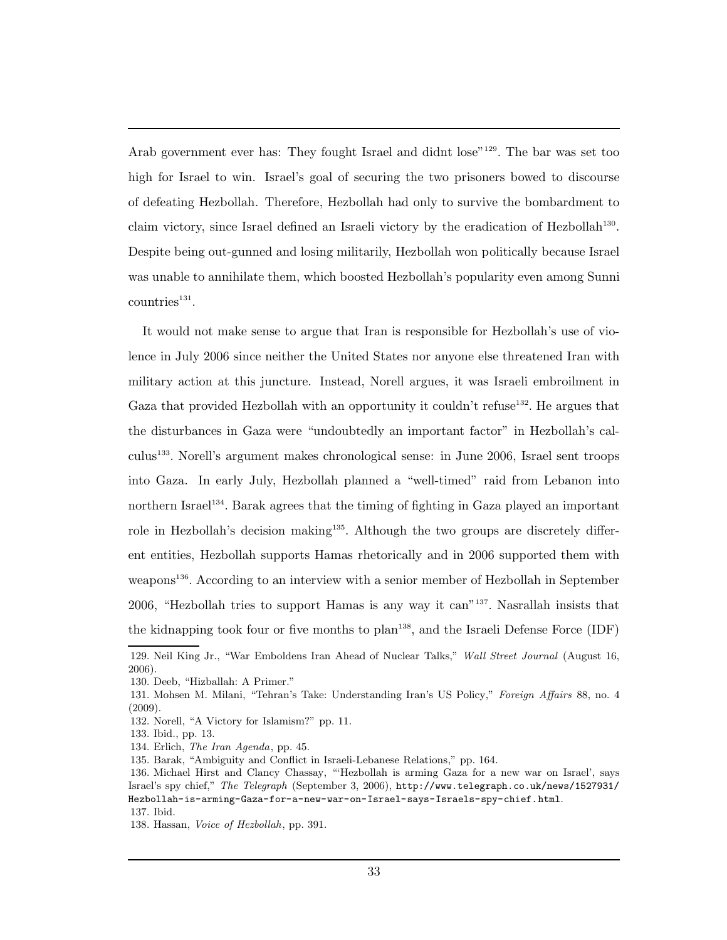Arab government ever has: They fought Israel and didnt lose"<sup>129</sup>. The bar was set too high for Israel to win. Israel's goal of securing the two prisoners bowed to discourse of defeating Hezbollah. Therefore, Hezbollah had only to survive the bombardment to claim victory, since Israel defined an Israeli victory by the eradication of Hezbollah<sup>130</sup>. Despite being out-gunned and losing militarily, Hezbollah won politically because Israel was unable to annihilate them, which boosted Hezbollah's popularity even among Sunni  $countries<sup>131</sup>$ .

It would not make sense to argue that Iran is responsible for Hezbollah's use of violence in July 2006 since neither the United States nor anyone else threatened Iran with military action at this juncture. Instead, Norell argues, it was Israeli embroilment in Gaza that provided Hezbollah with an opportunity it couldn't refuse<sup>132</sup>. He argues that the disturbances in Gaza were "undoubtedly an important factor" in Hezbollah's calculus<sup>133</sup>. Norell's argument makes chronological sense: in June 2006, Israel sent troops into Gaza. In early July, Hezbollah planned a "well-timed" raid from Lebanon into northern Israel<sup>134</sup>. Barak agrees that the timing of fighting in Gaza played an important role in Hezbollah's decision making<sup>135</sup>. Although the two groups are discretely different entities, Hezbollah supports Hamas rhetorically and in 2006 supported them with weapons<sup>136</sup>. According to an interview with a senior member of Hezbollah in September 2006, "Hezbollah tries to support Hamas is any way it can"<sup>137</sup>. Nasrallah insists that the kidnapping took four or five months to  $plan<sup>138</sup>$ , and the Israeli Defense Force (IDF)

<sup>129.</sup> Neil King Jr., "War Emboldens Iran Ahead of Nuclear Talks," Wall Street Journal (August 16, 2006).

<sup>130.</sup> Deeb, "Hizballah: A Primer."

<sup>131.</sup> Mohsen M. Milani, "Tehran's Take: Understanding Iran's US Policy," Foreign Affairs 88, no. 4 (2009).

<sup>132.</sup> Norell, "A Victory for Islamism?" pp. 11.

<sup>133.</sup> Ibid., pp. 13.

<sup>134.</sup> Erlich, The Iran Agenda, pp. 45.

<sup>135.</sup> Barak, "Ambiguity and Conflict in Israeli-Lebanese Relations," pp. 164.

<sup>136.</sup> Michael Hirst and Clancy Chassay, "'Hezbollah is arming Gaza for a new war on Israel', says Israel's spy chief," The Telegraph (September 3, 2006), http://www.telegraph.co.uk/news/1527931/ Hezbollah-is-arming-Gaza-for-a-new-war-on-Israel-says-Israels-spy-chief.html. 137. Ibid.

<sup>138.</sup> Hassan, Voice of Hezbollah, pp. 391.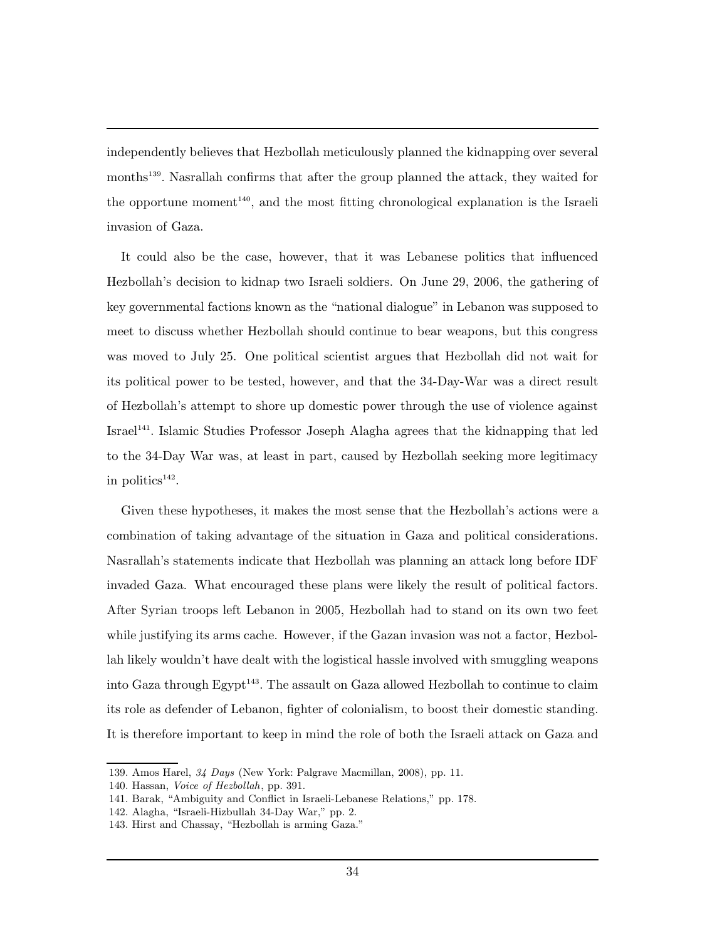independently believes that Hezbollah meticulously planned the kidnapping over several months<sup>139</sup>. Nasrallah confirms that after the group planned the attack, they waited for the opportune moment<sup>140</sup>, and the most fitting chronological explanation is the Israeli invasion of Gaza.

It could also be the case, however, that it was Lebanese politics that influenced Hezbollah's decision to kidnap two Israeli soldiers. On June 29, 2006, the gathering of key governmental factions known as the "national dialogue" in Lebanon was supposed to meet to discuss whether Hezbollah should continue to bear weapons, but this congress was moved to July 25. One political scientist argues that Hezbollah did not wait for its political power to be tested, however, and that the 34-Day-War was a direct result of Hezbollah's attempt to shore up domestic power through the use of violence against Israel<sup>141</sup>. Islamic Studies Professor Joseph Alagha agrees that the kidnapping that led to the 34-Day War was, at least in part, caused by Hezbollah seeking more legitimacy in politics $142$ .

Given these hypotheses, it makes the most sense that the Hezbollah's actions were a combination of taking advantage of the situation in Gaza and political considerations. Nasrallah's statements indicate that Hezbollah was planning an attack long before IDF invaded Gaza. What encouraged these plans were likely the result of political factors. After Syrian troops left Lebanon in 2005, Hezbollah had to stand on its own two feet while justifying its arms cache. However, if the Gazan invasion was not a factor, Hezbollah likely wouldn't have dealt with the logistical hassle involved with smuggling weapons into Gaza through Egypt<sup>143</sup>. The assault on Gaza allowed Hezbollah to continue to claim its role as defender of Lebanon, fighter of colonialism, to boost their domestic standing. It is therefore important to keep in mind the role of both the Israeli attack on Gaza and

<sup>139.</sup> Amos Harel, 34 Days (New York: Palgrave Macmillan, 2008), pp. 11.

<sup>140.</sup> Hassan, Voice of Hezbollah, pp. 391.

<sup>141.</sup> Barak, "Ambiguity and Conflict in Israeli-Lebanese Relations," pp. 178.

<sup>142.</sup> Alagha, "Israeli-Hizbullah 34-Day War," pp. 2.

<sup>143.</sup> Hirst and Chassay, "Hezbollah is arming Gaza."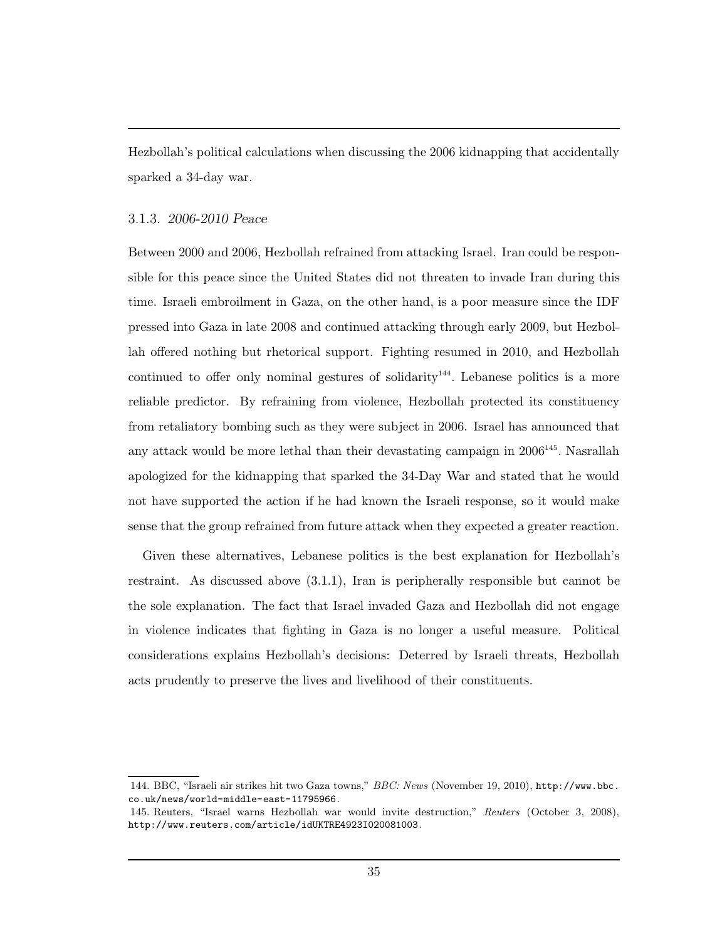Hezbollah's political calculations when discussing the 2006 kidnapping that accidentally sparked a 34-day war.

### 3.1.3. 2006-2010 Peace

Between 2000 and 2006, Hezbollah refrained from attacking Israel. Iran could be responsible for this peace since the United States did not threaten to invade Iran during this time. Israeli embroilment in Gaza, on the other hand, is a poor measure since the IDF pressed into Gaza in late 2008 and continued attacking through early 2009, but Hezbollah offered nothing but rhetorical support. Fighting resumed in 2010, and Hezbollah continued to offer only nominal gestures of solidarity<sup>144</sup>. Lebanese politics is a more reliable predictor. By refraining from violence, Hezbollah protected its constituency from retaliatory bombing such as they were subject in 2006. Israel has announced that any attack would be more lethal than their devastating campaign in  $2006^{145}$ . Nasrallah apologized for the kidnapping that sparked the 34-Day War and stated that he would not have supported the action if he had known the Israeli response, so it would make sense that the group refrained from future attack when they expected a greater reaction.

Given these alternatives, Lebanese politics is the best explanation for Hezbollah's restraint. As discussed above (3.1.1), Iran is peripherally responsible but cannot be the sole explanation. The fact that Israel invaded Gaza and Hezbollah did not engage in violence indicates that fighting in Gaza is no longer a useful measure. Political considerations explains Hezbollah's decisions: Deterred by Israeli threats, Hezbollah acts prudently to preserve the lives and livelihood of their constituents.

<sup>144.</sup> BBC, "Israeli air strikes hit two Gaza towns," BBC: News (November 19, 2010), http://www.bbc. co.uk/news/world-middle-east-11795966.

<sup>145.</sup> Reuters, "Israel warns Hezbollah war would invite destruction," Reuters (October 3, 2008), http://www.reuters.com/article/idUKTRE4923I020081003.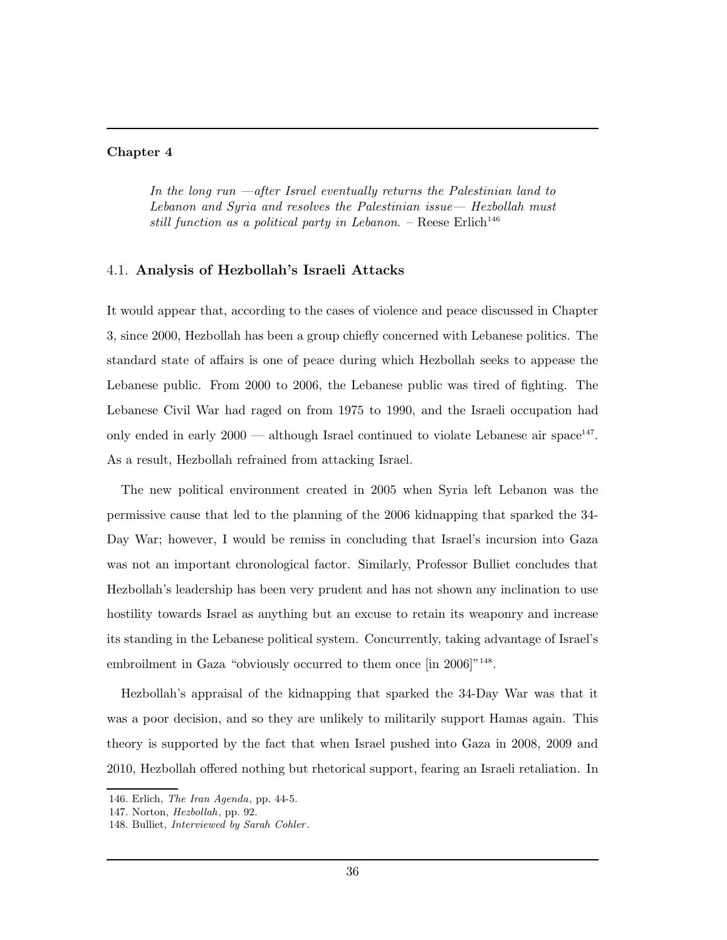#### Chapter 4

In the long run —after Israel eventually returns the Palestinian land to Lebanon and Syria and resolves the Palestinian issue— Hezbollah must still function as a political party in Lebanon. – Reese Erlich<sup>146</sup>

### 4.1. Analysis of Hezbollah's Israeli Attacks

It would appear that, according to the cases of violence and peace discussed in Chapter 3, since 2000, Hezbollah has been a group chiefly concerned with Lebanese politics. The standard state of affairs is one of peace during which Hezbollah seeks to appease the Lebanese public. From 2000 to 2006, the Lebanese public was tired of fighting. The Lebanese Civil War had raged on from 1975 to 1990, and the Israeli occupation had only ended in early  $2000$  — although Israel continued to violate Lebanese air space<sup>147</sup>. As a result, Hezbollah refrained from attacking Israel.

The new political environment created in 2005 when Syria left Lebanon was the permissive cause that led to the planning of the 2006 kidnapping that sparked the 34- Day War; however, I would be remiss in concluding that Israel's incursion into Gaza was not an important chronological factor. Similarly, Professor Bulliet concludes that Hezbollah's leadership has been very prudent and has not shown any inclination to use hostility towards Israel as anything but an excuse to retain its weaponry and increase its standing in the Lebanese political system. Concurrently, taking advantage of Israel's embroilment in Gaza "obviously occurred to them once [in 2006]<sup>"148</sup>.

Hezbollah's appraisal of the kidnapping that sparked the 34-Day War was that it was a poor decision, and so they are unlikely to militarily support Hamas again. This theory is supported by the fact that when Israel pushed into Gaza in 2008, 2009 and 2010, Hezbollah offered nothing but rhetorical support, fearing an Israeli retaliation. In

<sup>146.</sup> Erlich, The Iran Agenda, pp. 44-5.

<sup>147.</sup> Norton, Hezbollah, pp. 92.

<sup>148.</sup> Bulliet, Interviewed by Sarah Cohler .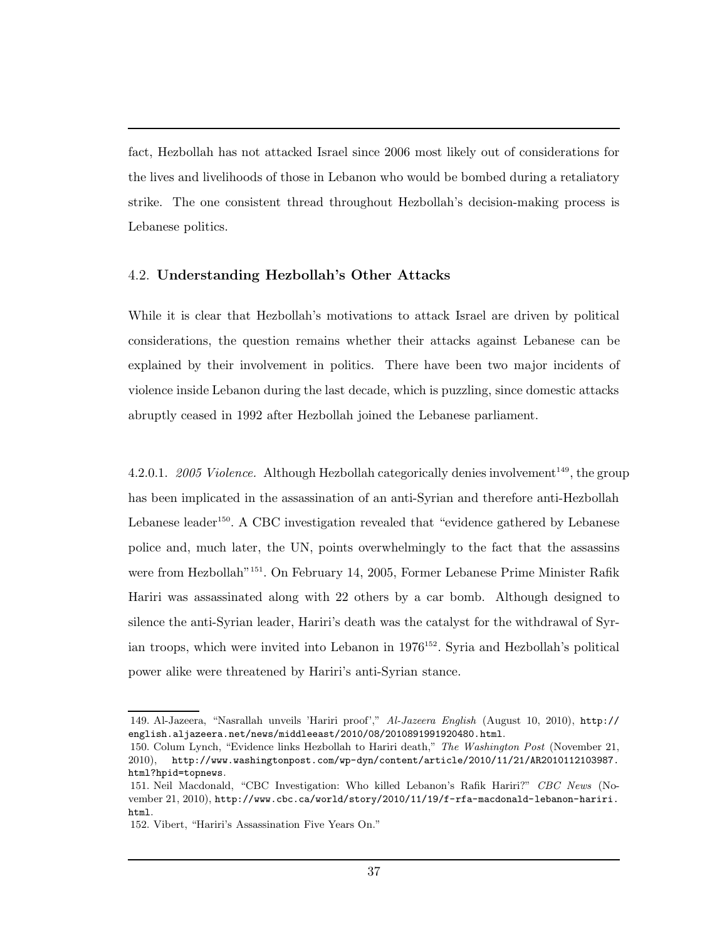fact, Hezbollah has not attacked Israel since 2006 most likely out of considerations for the lives and livelihoods of those in Lebanon who would be bombed during a retaliatory strike. The one consistent thread throughout Hezbollah's decision-making process is Lebanese politics.

## 4.2. Understanding Hezbollah's Other Attacks

While it is clear that Hezbollah's motivations to attack Israel are driven by political considerations, the question remains whether their attacks against Lebanese can be explained by their involvement in politics. There have been two major incidents of violence inside Lebanon during the last decade, which is puzzling, since domestic attacks abruptly ceased in 1992 after Hezbollah joined the Lebanese parliament.

4.2.0.1. 2005 Violence. Although Hezbollah categorically denies involvement<sup>149</sup>, the group has been implicated in the assassination of an anti-Syrian and therefore anti-Hezbollah Lebanese leader<sup>150</sup>. A CBC investigation revealed that "evidence gathered by Lebanese police and, much later, the UN, points overwhelmingly to the fact that the assassins were from Hezbollah<sup>"151</sup>. On February 14, 2005, Former Lebanese Prime Minister Rafik Hariri was assassinated along with 22 others by a car bomb. Although designed to silence the anti-Syrian leader, Hariri's death was the catalyst for the withdrawal of Syrian troops, which were invited into Lebanon in  $1976^{152}$ . Syria and Hezbollah's political power alike were threatened by Hariri's anti-Syrian stance.

<sup>149.</sup> Al-Jazeera, "Nasrallah unveils 'Hariri proof'," Al-Jazeera English (August 10, 2010), http:// english.aljazeera.net/news/middleeast/2010/08/2010891991920480.html.

<sup>150.</sup> Colum Lynch, "Evidence links Hezbollah to Hariri death," The Washington Post (November 21, 2010), http://www.washingtonpost.com/wp-dyn/content/article/2010/11/21/AR2010112103987. html?hpid=topnews.

<sup>151.</sup> Neil Macdonald, "CBC Investigation: Who killed Lebanon's Rafik Hariri?" CBC News (November 21, 2010), http://www.cbc.ca/world/story/2010/11/19/f-rfa-macdonald-lebanon-hariri. html.

<sup>152.</sup> Vibert, "Hariri's Assassination Five Years On."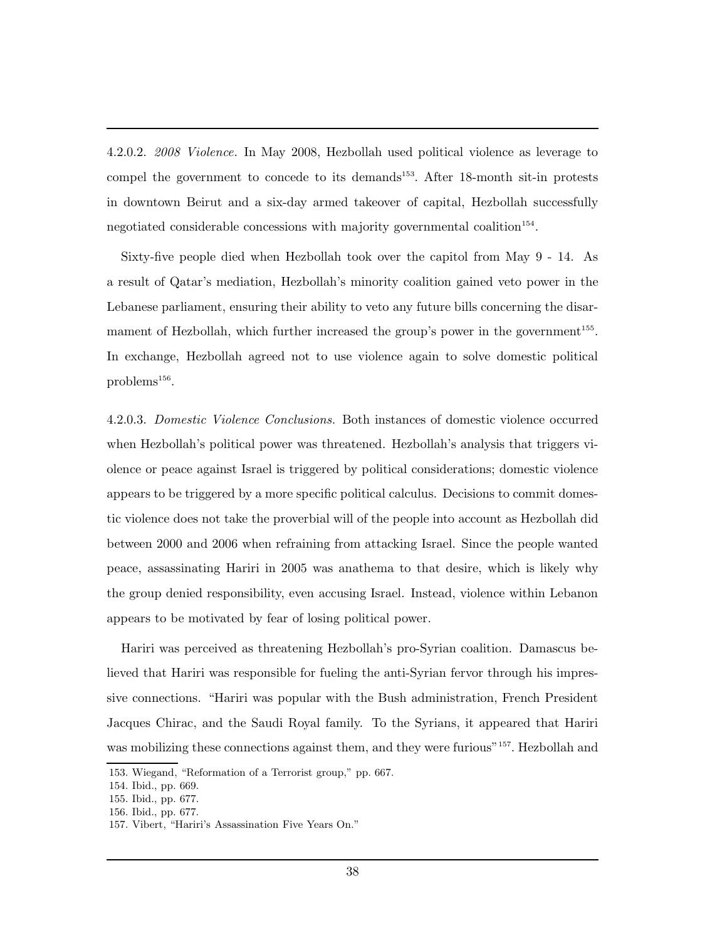4.2.0.2. 2008 Violence. In May 2008, Hezbollah used political violence as leverage to compel the government to concede to its demands<sup>153</sup>. After 18-month sit-in protests in downtown Beirut and a six-day armed takeover of capital, Hezbollah successfully negotiated considerable concessions with majority governmental coalition<sup>154</sup>.

Sixty-five people died when Hezbollah took over the capitol from May 9 - 14. As a result of Qatar's mediation, Hezbollah's minority coalition gained veto power in the Lebanese parliament, ensuring their ability to veto any future bills concerning the disarmament of Hezbollah, which further increased the group's power in the government<sup>155</sup>. In exchange, Hezbollah agreed not to use violence again to solve domestic political problems $^{156}$ .

4.2.0.3. Domestic Violence Conclusions. Both instances of domestic violence occurred when Hezbollah's political power was threatened. Hezbollah's analysis that triggers violence or peace against Israel is triggered by political considerations; domestic violence appears to be triggered by a more specific political calculus. Decisions to commit domestic violence does not take the proverbial will of the people into account as Hezbollah did between 2000 and 2006 when refraining from attacking Israel. Since the people wanted peace, assassinating Hariri in 2005 was anathema to that desire, which is likely why the group denied responsibility, even accusing Israel. Instead, violence within Lebanon appears to be motivated by fear of losing political power.

Hariri was perceived as threatening Hezbollah's pro-Syrian coalition. Damascus believed that Hariri was responsible for fueling the anti-Syrian fervor through his impressive connections. "Hariri was popular with the Bush administration, French President Jacques Chirac, and the Saudi Royal family. To the Syrians, it appeared that Hariri was mobilizing these connections against them, and they were furious"<sup>157</sup>. Hezbollah and

<sup>153.</sup> Wiegand, "Reformation of a Terrorist group," pp. 667.

<sup>154.</sup> Ibid., pp. 669.

<sup>155.</sup> Ibid., pp. 677.

<sup>156.</sup> Ibid., pp. 677.

<sup>157.</sup> Vibert, "Hariri's Assassination Five Years On."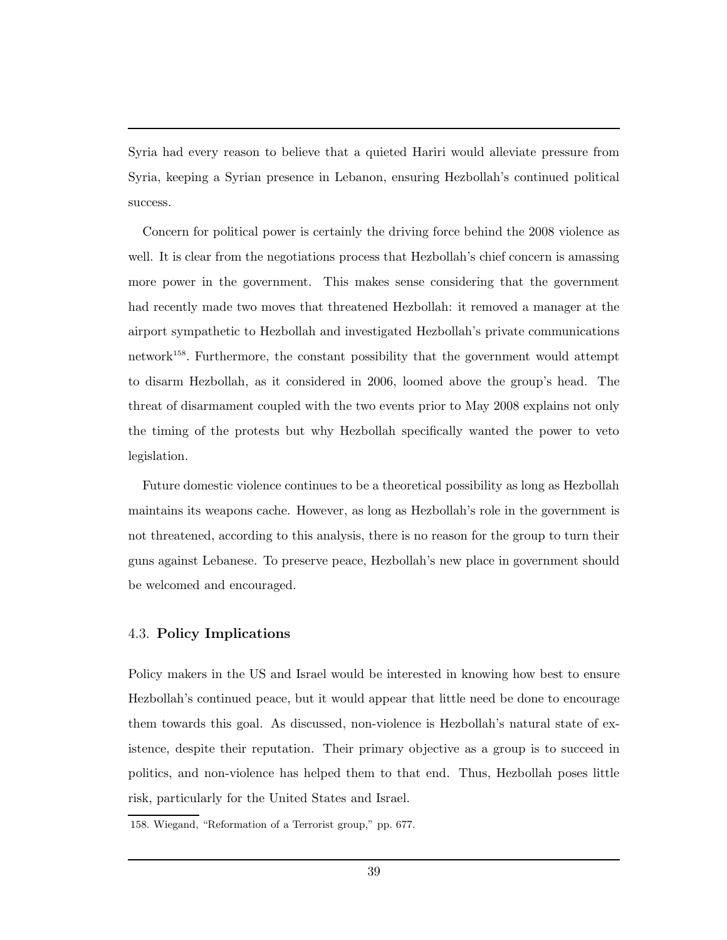Syria had every reason to believe that a quieted Hariri would alleviate pressure from Syria, keeping a Syrian presence in Lebanon, ensuring Hezbollah's continued political success.

Concern for political power is certainly the driving force behind the 2008 violence as well. It is clear from the negotiations process that Hezbollah's chief concern is amassing more power in the government. This makes sense considering that the government had recently made two moves that threatened Hezbollah: it removed a manager at the airport sympathetic to Hezbollah and investigated Hezbollah's private communications network<sup>158</sup>. Furthermore, the constant possibility that the government would attempt to disarm Hezbollah, as it considered in 2006, loomed above the group's head. The threat of disarmament coupled with the two events prior to May 2008 explains not only the timing of the protests but why Hezbollah specifically wanted the power to veto legislation.

Future domestic violence continues to be a theoretical possibility as long as Hezbollah maintains its weapons cache. However, as long as Hezbollah's role in the government is not threatened, according to this analysis, there is no reason for the group to turn their guns against Lebanese. To preserve peace, Hezbollah's new place in government should be welcomed and encouraged.

## 4.3. Policy Implications

Policy makers in the US and Israel would be interested in knowing how best to ensure Hezbollah's continued peace, but it would appear that little need be done to encourage them towards this goal. As discussed, non-violence is Hezbollah's natural state of existence, despite their reputation. Their primary objective as a group is to succeed in politics, and non-violence has helped them to that end. Thus, Hezbollah poses little risk, particularly for the United States and Israel.

<sup>158.</sup> Wiegand, "Reformation of a Terrorist group," pp. 677.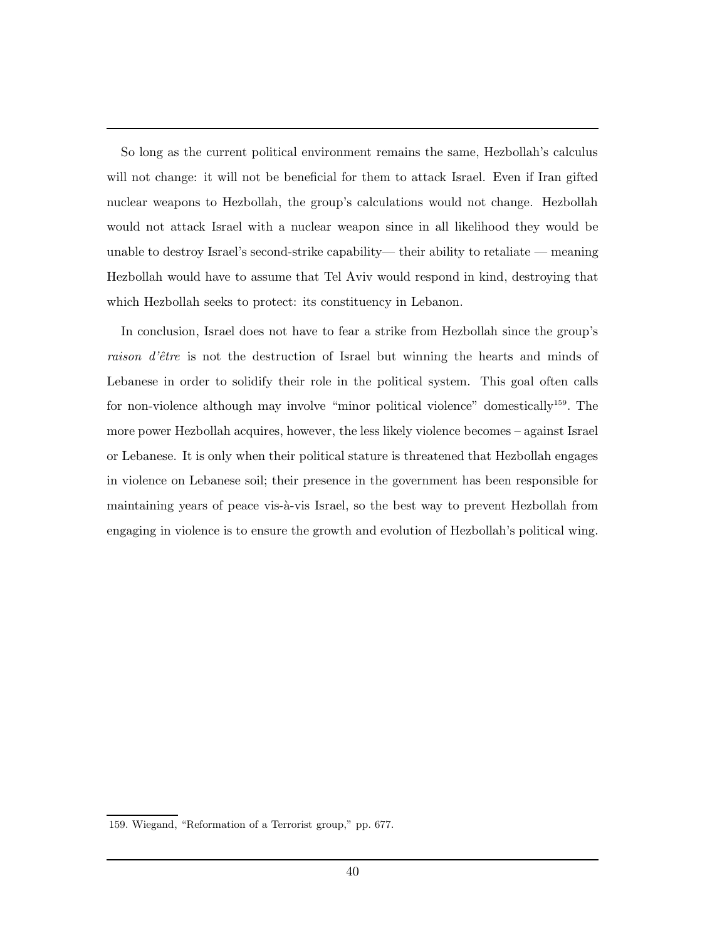So long as the current political environment remains the same, Hezbollah's calculus will not change: it will not be beneficial for them to attack Israel. Even if Iran gifted nuclear weapons to Hezbollah, the group's calculations would not change. Hezbollah would not attack Israel with a nuclear weapon since in all likelihood they would be unable to destroy Israel's second-strike capability— their ability to retaliate — meaning Hezbollah would have to assume that Tel Aviv would respond in kind, destroying that which Hezbollah seeks to protect: its constituency in Lebanon.

In conclusion, Israel does not have to fear a strike from Hezbollah since the group's raison d'être is not the destruction of Israel but winning the hearts and minds of Lebanese in order to solidify their role in the political system. This goal often calls for non-violence although may involve "minor political violence" domestically<sup>159</sup>. The more power Hezbollah acquires, however, the less likely violence becomes – against Israel or Lebanese. It is only when their political stature is threatened that Hezbollah engages in violence on Lebanese soil; their presence in the government has been responsible for maintaining years of peace vis-à-vis Israel, so the best way to prevent Hezbollah from engaging in violence is to ensure the growth and evolution of Hezbollah's political wing.

<sup>159.</sup> Wiegand, "Reformation of a Terrorist group," pp. 677.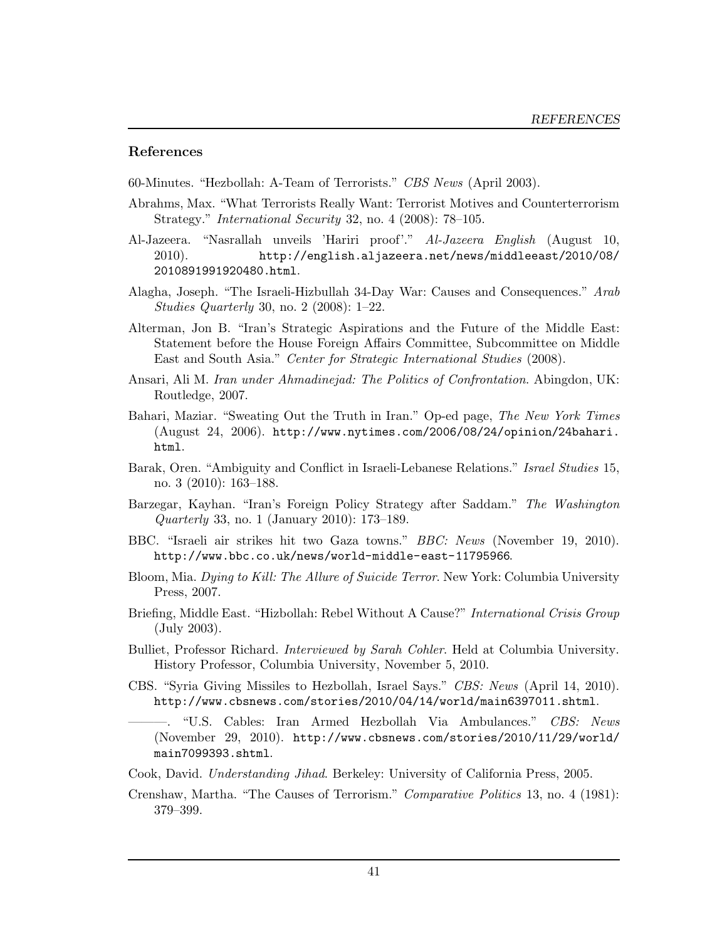### References

60-Minutes. "Hezbollah: A-Team of Terrorists." CBS News (April 2003).

- Abrahms, Max. "What Terrorists Really Want: Terrorist Motives and Counterterrorism Strategy." International Security 32, no. 4 (2008): 78–105.
- Al-Jazeera. "Nasrallah unveils 'Hariri proof'." Al-Jazeera English (August 10, 2010). http://english.aljazeera.net/news/middleeast/2010/08/ 2010891991920480.html.
- Alagha, Joseph. "The Israeli-Hizbullah 34-Day War: Causes and Consequences." Arab Studies Quarterly 30, no. 2 (2008): 1–22.
- Alterman, Jon B. "Iran's Strategic Aspirations and the Future of the Middle East: Statement before the House Foreign Affairs Committee, Subcommittee on Middle East and South Asia." Center for Strategic International Studies (2008).
- Ansari, Ali M. Iran under Ahmadinejad: The Politics of Confrontation. Abingdon, UK: Routledge, 2007.
- Bahari, Maziar. "Sweating Out the Truth in Iran." Op-ed page, The New York Times (August 24, 2006). http://www.nytimes.com/2006/08/24/opinion/24bahari. html.
- Barak, Oren. "Ambiguity and Conflict in Israeli-Lebanese Relations." Israel Studies 15, no. 3 (2010): 163–188.
- Barzegar, Kayhan. "Iran's Foreign Policy Strategy after Saddam." The Washington Quarterly 33, no. 1 (January 2010): 173–189.
- BBC. "Israeli air strikes hit two Gaza towns." BBC: News (November 19, 2010). http://www.bbc.co.uk/news/world-middle-east-11795966.
- Bloom, Mia. Dying to Kill: The Allure of Suicide Terror. New York: Columbia University Press, 2007.
- Briefing, Middle East. "Hizbollah: Rebel Without A Cause?" International Crisis Group (July 2003).
- Bulliet, Professor Richard. Interviewed by Sarah Cohler. Held at Columbia University. History Professor, Columbia University, November 5, 2010.
- CBS. "Syria Giving Missiles to Hezbollah, Israel Says." CBS: News (April 14, 2010). http://www.cbsnews.com/stories/2010/04/14/world/main6397011.shtml.

———. "U.S. Cables: Iran Armed Hezbollah Via Ambulances." CBS: News (November 29, 2010). http://www.cbsnews.com/stories/2010/11/29/world/ main7099393.shtml.

Cook, David. Understanding Jihad. Berkeley: University of California Press, 2005.

Crenshaw, Martha. "The Causes of Terrorism." Comparative Politics 13, no. 4 (1981): 379–399.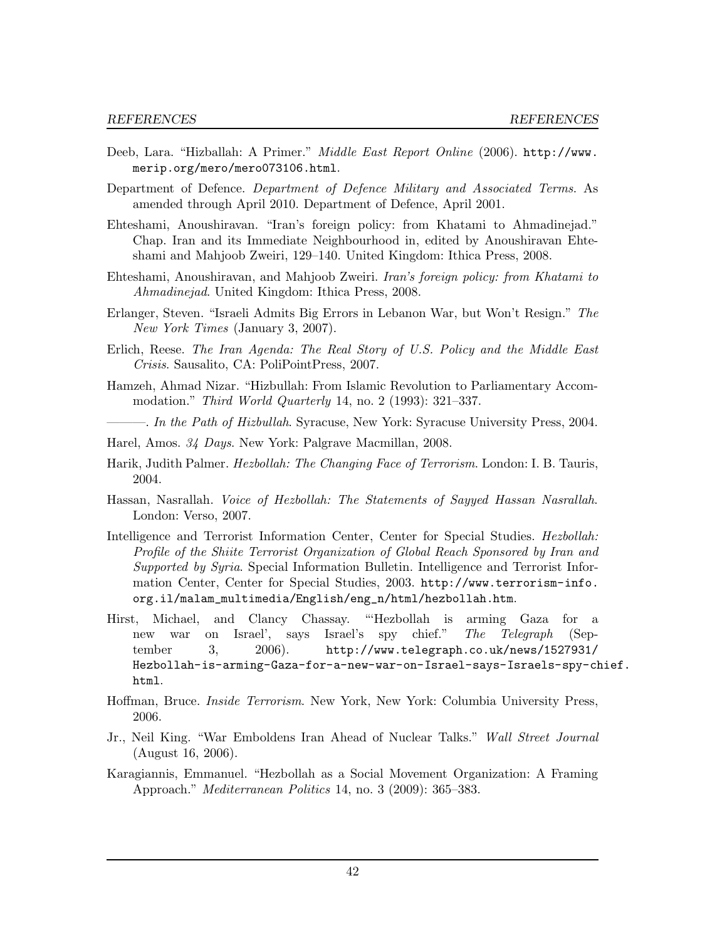- Deeb, Lara. "Hizballah: A Primer." Middle East Report Online (2006). http://www. merip.org/mero/mero073106.html.
- Department of Defence. Department of Defence Military and Associated Terms. As amended through April 2010. Department of Defence, April 2001.
- Ehteshami, Anoushiravan. "Iran's foreign policy: from Khatami to Ahmadinejad." Chap. Iran and its Immediate Neighbourhood in, edited by Anoushiravan Ehteshami and Mahjoob Zweiri, 129–140. United Kingdom: Ithica Press, 2008.
- Ehteshami, Anoushiravan, and Mahjoob Zweiri. Iran's foreign policy: from Khatami to Ahmadinejad. United Kingdom: Ithica Press, 2008.
- Erlanger, Steven. "Israeli Admits Big Errors in Lebanon War, but Won't Resign." The New York Times (January 3, 2007).
- Erlich, Reese. The Iran Agenda: The Real Story of U.S. Policy and the Middle East Crisis. Sausalito, CA: PoliPointPress, 2007.
- Hamzeh, Ahmad Nizar. "Hizbullah: From Islamic Revolution to Parliamentary Accommodation." Third World Quarterly 14, no. 2 (1993): 321–337.
- -. In the Path of Hizbullah. Syracuse, New York: Syracuse University Press, 2004.
- Harel, Amos. 34 Days. New York: Palgrave Macmillan, 2008.
- Harik, Judith Palmer. Hezbollah: The Changing Face of Terrorism. London: I. B. Tauris, 2004.
- Hassan, Nasrallah. Voice of Hezbollah: The Statements of Sayyed Hassan Nasrallah. London: Verso, 2007.
- Intelligence and Terrorist Information Center, Center for Special Studies. Hezbollah: Profile of the Shiite Terrorist Organization of Global Reach Sponsored by Iran and Supported by Syria. Special Information Bulletin. Intelligence and Terrorist Information Center, Center for Special Studies, 2003. http://www.terrorism-info. org.il/malam\_multimedia/English/eng\_n/html/hezbollah.htm.
- Hirst, Michael, and Clancy Chassay. "'Hezbollah is arming Gaza for a new war on Israel', says Israel's spy chief." The Telegraph (September 3, 2006). http://www.telegraph.co.uk/news/1527931/ Hezbollah-is-arming-Gaza-for-a-new-war-on-Israel-says-Israels-spy-chief. html.
- Hoffman, Bruce. Inside Terrorism. New York, New York: Columbia University Press, 2006.
- Jr., Neil King. "War Emboldens Iran Ahead of Nuclear Talks." Wall Street Journal (August 16, 2006).
- Karagiannis, Emmanuel. "Hezbollah as a Social Movement Organization: A Framing Approach." Mediterranean Politics 14, no. 3 (2009): 365–383.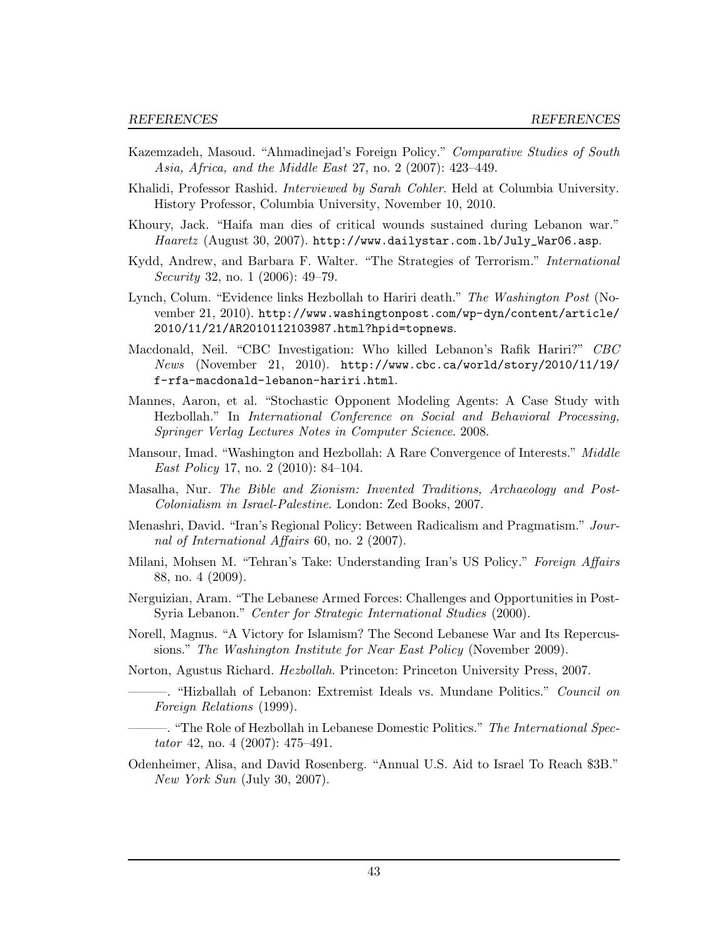- Kazemzadeh, Masoud. "Ahmadinejad's Foreign Policy." Comparative Studies of South Asia, Africa, and the Middle East 27, no. 2 (2007): 423–449.
- Khalidi, Professor Rashid. Interviewed by Sarah Cohler. Held at Columbia University. History Professor, Columbia University, November 10, 2010.
- Khoury, Jack. "Haifa man dies of critical wounds sustained during Lebanon war." Haaretz (August 30, 2007). http://www.dailystar.com.lb/July\_War06.asp.
- Kydd, Andrew, and Barbara F. Walter. "The Strategies of Terrorism." International Security 32, no. 1 (2006): 49–79.
- Lynch, Colum. "Evidence links Hezbollah to Hariri death." The Washington Post (November 21, 2010). http://www.washingtonpost.com/wp-dyn/content/article/ 2010/11/21/AR2010112103987.html?hpid=topnews.
- Macdonald, Neil. "CBC Investigation: Who killed Lebanon's Rafik Hariri?" CBC News (November 21, 2010). http://www.cbc.ca/world/story/2010/11/19/ f-rfa-macdonald-lebanon-hariri.html.
- Mannes, Aaron, et al. "Stochastic Opponent Modeling Agents: A Case Study with Hezbollah." In International Conference on Social and Behavioral Processing, Springer Verlag Lectures Notes in Computer Science. 2008.
- Mansour, Imad. "Washington and Hezbollah: A Rare Convergence of Interests." *Middle* East Policy 17, no. 2 (2010): 84–104.
- Masalha, Nur. The Bible and Zionism: Invented Traditions, Archaeology and Post-Colonialism in Israel-Palestine. London: Zed Books, 2007.
- Menashri, David. "Iran's Regional Policy: Between Radicalism and Pragmatism." Journal of International Affairs 60, no. 2 (2007).
- Milani, Mohsen M. "Tehran's Take: Understanding Iran's US Policy." Foreign Affairs 88, no. 4 (2009).
- Nerguizian, Aram. "The Lebanese Armed Forces: Challenges and Opportunities in Post-Syria Lebanon." Center for Strategic International Studies (2000).
- Norell, Magnus. "A Victory for Islamism? The Second Lebanese War and Its Repercussions." The Washington Institute for Near East Policy (November 2009).
- Norton, Agustus Richard. Hezbollah. Princeton: Princeton University Press, 2007.
	- ———. "Hizballah of Lebanon: Extremist Ideals vs. Mundane Politics." Council on Foreign Relations (1999).
	- -. "The Role of Hezbollah in Lebanese Domestic Politics." The International Spectator 42, no. 4 (2007): 475–491.
- Odenheimer, Alisa, and David Rosenberg. "Annual U.S. Aid to Israel To Reach \$3B." New York Sun (July 30, 2007).